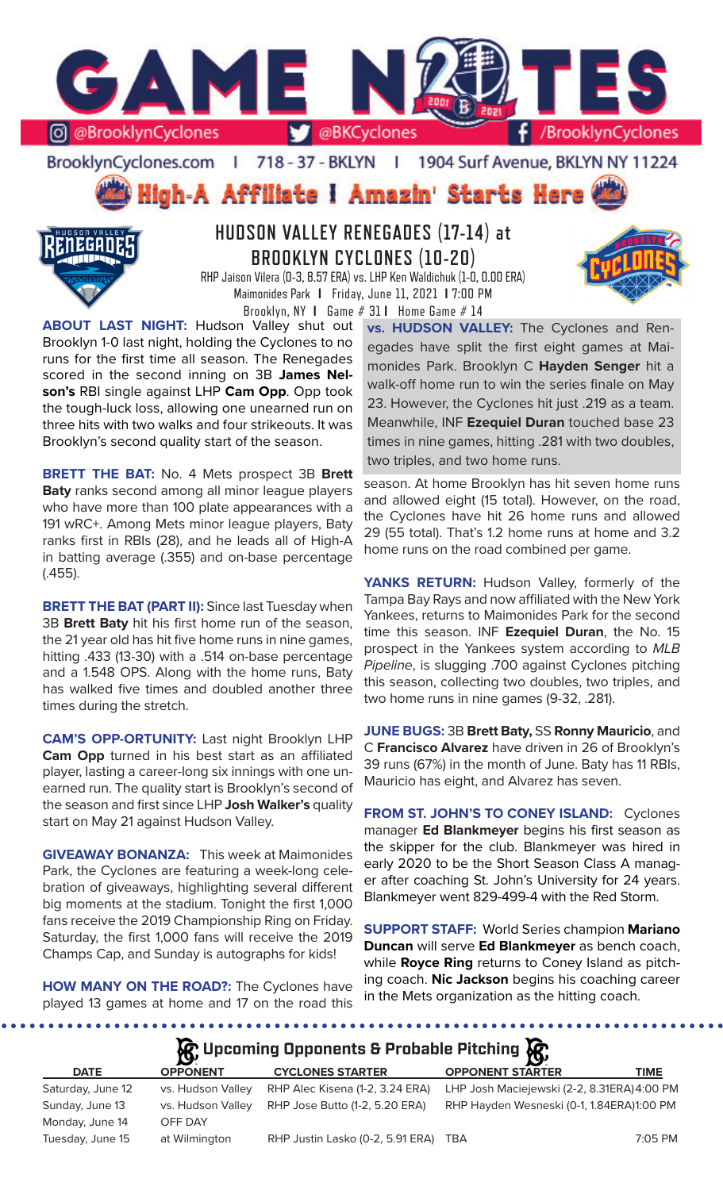

BrooklynCyclones.com | 718 - 37 - BKLYN | 1904 Surf Avenue, BKLYN NY 11224

# High-A Affiliate I Amazin' Starts Here



# **HUDSON VALLEY RENEGADES (17-14) at BROOKLYN CYCLONES (10-20)**

RHP Jaison Vilera (0-3, 8.57 ERA) vs. LHP Ken Waldichuk (1-0, 0.00 ERA) Maimonides Park **I** Friday, June 11, 2021 **I** 7:00 PM Brooklyn, NY **I** Game # 31 **I** Home Game # 14

**ABOUT LAST NIGHT:** Hudson Valley shut out Brooklyn 1-0 last night, holding the Cyclones to no runs for the first time all season. The Renegades scored in the second inning on 3B **James Nelson's** RBI single against LHP **Cam Opp**. Opp took the tough-luck loss, allowing one unearned run on three hits with two walks and four strikeouts. It was Brooklyn's second quality start of the season.

**BRETT THE BAT:** No. 4 Mets prospect 3B **Brett Baty** ranks second among all minor league players who have more than 100 plate appearances with a 191 wRC+. Among Mets minor league players, Baty ranks first in RBIs (28), and he leads all of High-A in batting average (.355) and on-base percentage (.455).

**BRETT THE BAT (PART II):** Since last Tuesday when 3B **Brett Baty** hit his first home run of the season, the 21 year old has hit five home runs in nine games, hitting .433 (13-30) with a .514 on-base percentage and a 1.548 OPS. Along with the home runs, Baty has walked five times and doubled another three times during the stretch.

**CAM'S OPP-ORTUNITY:** Last night Brooklyn LHP **Cam Opp** turned in his best start as an affiliated player, lasting a career-long six innings with one unearned run. The quality start is Brooklyn's second of the season and first since LHP **Josh Walker's** quality start on May 21 against Hudson Valley.

**GIVEAWAY BONANZA:** This week at Maimonides Park, the Cyclones are featuring a week-long celebration of giveaways, highlighting several different big moments at the stadium. Tonight the first 1,000 fans receive the 2019 Championship Ring on Friday. Saturday, the first 1,000 fans will receive the 2019 Champs Cap, and Sunday is autographs for kids!

**HOW MANY ON THE ROAD?:** The Cyclones have played 13 games at home and 17 on the road this

**vs. HUDSON VALLEY:** The Cyclones and Renegades have split the first eight games at Maimonides Park. Brooklyn C **Hayden Senger** hit a walk-off home run to win the series finale on May 23. However, the Cyclones hit just .219 as a team. Meanwhile, INF **Ezequiel Duran** touched base 23 times in nine games, hitting .281 with two doubles, two triples, and two home runs.

season. At home Brooklyn has hit seven home runs and allowed eight (15 total). However, on the road, the Cyclones have hit 26 home runs and allowed 29 (55 total). That's 1.2 home runs at home and 3.2 home runs on the road combined per game.

YANKS RETURN: Hudson Valley, formerly of the Tampa Bay Rays and now affiliated with the New York Yankees, returns to Maimonides Park for the second time this season. INF **Ezequiel Duran**, the No. 15 prospect in the Yankees system according to *MLB Pipeline*, is slugging .700 against Cyclones pitching this season, collecting two doubles, two triples, and two home runs in nine games (9-32, .281).

**JUNE BUGS:** 3B **Brett Baty,** SS **Ronny Mauricio**, and C **Francisco Alvarez** have driven in 26 of Brooklyn's 39 runs (67%) in the month of June. Baty has 11 RBIs, Mauricio has eight, and Alvarez has seven.

**FROM ST. JOHN'S TO CONEY ISLAND:** Cyclones manager **Ed Blankmeyer** begins his first season as the skipper for the club. Blankmeyer was hired in early 2020 to be the Short Season Class A manager after coaching St. John's University for 24 years. Blankmeyer went 829-499-4 with the Red Storm.

**SUPPORT STAFF:** World Series champion **Mariano Duncan** will serve **Ed Blankmeyer** as bench coach, while **Royce Ring** returns to Coney Island as pitching coach. **Nic Jackson** begins his coaching career in the Mets organization as the hitting coach.

## **Upcoming Opponents & Probable Pitching**

| <b>DATE</b>       | <b>OPPONENT</b>   | <b>CYCLONES STARTER</b>              | $\sim$<br><b>OPPONENT STARTER</b>           | <b>TIME</b> |
|-------------------|-------------------|--------------------------------------|---------------------------------------------|-------------|
| Saturday, June 12 | vs. Hudson Valley | RHP Alec Kisena (1-2, 3.24 ERA)      | LHP Josh Maciejewski (2-2, 8.31ERA) 4:00 PM |             |
| Sunday, June 13   | vs. Hudson Valley | RHP Jose Butto (1-2, 5.20 ERA)       | RHP Hayden Wesneski (0-1, 1.84ERA)1:00 PM   |             |
| Monday, June 14   | OFF DAY           |                                      |                                             |             |
| Tuesday, June 15  | at Wilmington     | RHP Justin Lasko (0-2, 5.91 ERA) TBA |                                             | 7:05 PM     |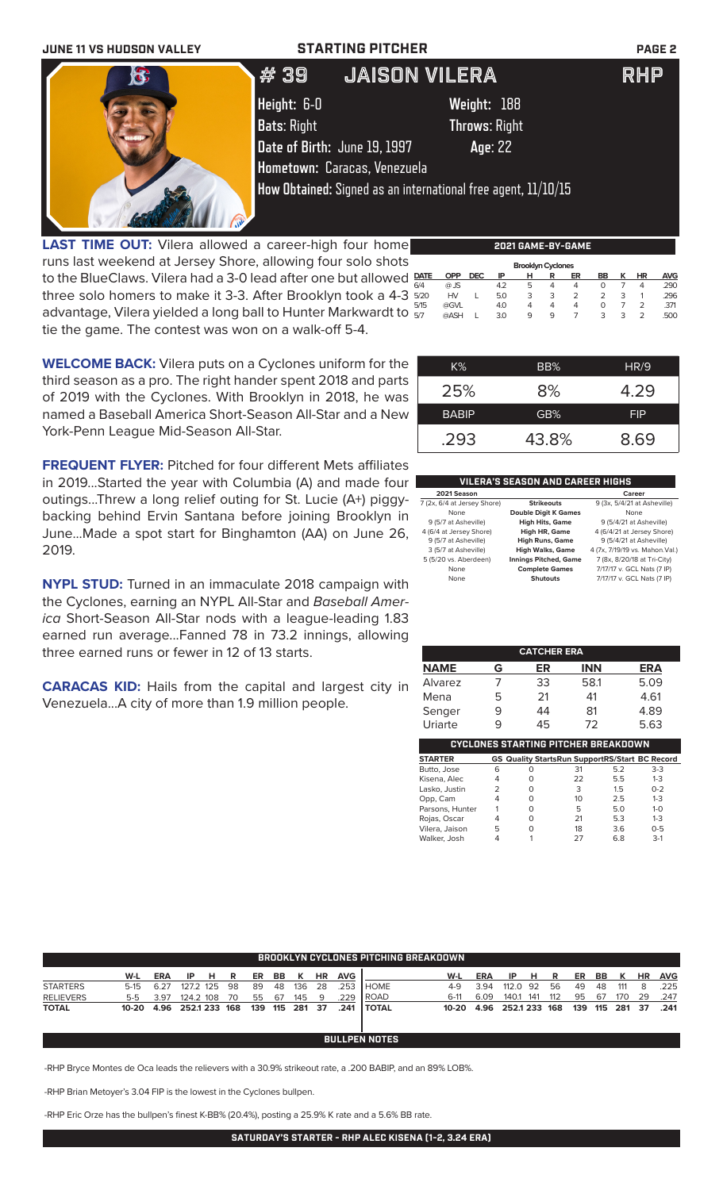

**LAST TIME OUT:** Vilera allowed a career-high four home runs last weekend at Jersey Shore, allowing four solo shots to the BlueClaws. Vilera had a 3-0 lead after one but allowed  $\frac{part}{\epsilon}$ three solo homers to make it 3-3. After Brooklyn took a 4-3  $\frac{5}{205}$ advantage, Vilera yielded a long ball to Hunter Markwardt to  $\frac{1}{57}$ tie the game. The contest was won on a walk-off 5-4.  **Brooklyn Cyclones DATE OPP DEC IP H R ER BB K HR AVG** 6/4 @ JS 4.2 5 4 4 0 7 4 .290 5/20 HV L 5.0 3 3 2 2 3 1 .296 5/15 @GVL 4.0 4 4 4 0 7 2 .371 5/7 @ASH L 3.0 9 9 7 3 3 2 .500

**WELCOME BACK:** Vilera puts on a Cyclones uniform for the third season as a pro. The right hander spent 2018 and parts of 2019 with the Cyclones. With Brooklyn in 2018, he was named a Baseball America Short-Season All-Star and a New

York-Penn League Mid-Season All-Star.

| K%           | BB%   | HR/9       |
|--------------|-------|------------|
| 25%          | 8%    | 4.29       |
| <b>BABIP</b> | GB%   | <b>FIP</b> |
| .293         | 43.8% | 8.69       |

**2021 GAME-BY-GAME**

**FREQUENT FLYER:** Pitched for four different Mets affiliates in 2019...Started the year with Columbia (A) and made four outings...Threw a long relief outing for St. Lucie (A+) piggybacking behind Ervin Santana before joining Brooklyn in June...Made a spot start for Binghamton (AA) on June 26, 2019.

**NYPL STUD:** Turned in an immaculate 2018 campaign with the Cyclones, earning an NYPL All-Star and *Baseball America* Short-Season All-Star nods with a league-leading 1.83 earned run average...Fanned 78 in 73.2 innings, allowing three earned runs or fewer in 12 of 13 starts.

**CARACAS KID:** Hails from the capital and largest city in Venezuela...A city of more than 1.9 million people.

|--|

| 2021 Season                 |                              | Career                          |
|-----------------------------|------------------------------|---------------------------------|
| 7 (2x, 6/4 at Jersey Shore) | <b>Strikeouts</b>            | 9 (3x, 5/4/21 at Asheville)     |
| None                        | <b>Double Digit K Games</b>  | None                            |
| 9 (5/7 at Asheville)        | <b>High Hits, Game</b>       | 9 (5/4/21 at Asheville)         |
| 4 (6/4 at Jersey Shore)     | High HR, Game                | 4 (6/4/21 at Jersey Shore)      |
| 9 (5/7 at Asheville)        | <b>High Runs, Game</b>       | 9 (5/4/21 at Asheville)         |
| 3 (5/7 at Asheville)        | <b>High Walks, Game</b>      | 4 (7x, 7/19/19 vs. Mahon. Val.) |
| 5 (5/20 vs. Aberdeen)       | <b>Innings Pitched, Game</b> | 7 (8x, 8/20/18 at Tri-City)     |
| None                        | <b>Complete Games</b>        | 7/17/17 v. GCL Nats (7 IP)      |
| None                        | <b>Shutouts</b>              | 7/17/17 v. GCL Nats (7 IP)      |
|                             |                              |                                 |

| <b>CATCHER ERA</b>                         |   |    |            |      |  |  |  |  |  |  |
|--------------------------------------------|---|----|------------|------|--|--|--|--|--|--|
| <b>NAME</b>                                | G | ER | <b>INN</b> | ERA  |  |  |  |  |  |  |
| Alvarez                                    |   | 33 | 58.1       | 5.09 |  |  |  |  |  |  |
| Mena                                       | 5 | 21 | 41         | 4.61 |  |  |  |  |  |  |
| Senger                                     |   | 44 | 81         | 4.89 |  |  |  |  |  |  |
| Uriarte                                    |   | 45 | 72         | 5.63 |  |  |  |  |  |  |
| <b>CYCLONES STARTING PITCHER BREAKDOWN</b> |   |    |            |      |  |  |  |  |  |  |

| <b>STARTER</b>  |   |   | <b>GS Quality StartsRun SupportRS/Start BC Record</b> |     |         |
|-----------------|---|---|-------------------------------------------------------|-----|---------|
| Butto, Jose     | 6 | O | 31                                                    | 5.2 | $3-3$   |
| Kisena, Alec    | 4 | O | 22                                                    | 5.5 | $1 - 3$ |
| Lasko, Justin   |   | O | 3                                                     | 1.5 | $0 - 2$ |
| Opp, Cam        | 4 | O | 10                                                    | 2.5 | $1 - 3$ |
| Parsons, Hunter |   | O | 5                                                     | 5.0 | $1 - 0$ |
| Rojas, Oscar    | 4 | O | 21                                                    | 5.3 | $1 - 3$ |
| Vilera, Jaison  | 5 | O | 18                                                    | 3.6 | $0 - 5$ |
| Walker, Josh    |   |   | 27                                                    | 6.8 | $3-1$   |
|                 |   |   |                                                       |     |         |

| <b>BROOKLYN CYCLONES PITCHING BREAKDOWN</b> |        |            |               |   |    |     |    |         |           |            |                |           |      |               |     |     |     |     |         |           |            |
|---------------------------------------------|--------|------------|---------------|---|----|-----|----|---------|-----------|------------|----------------|-----------|------|---------------|-----|-----|-----|-----|---------|-----------|------------|
|                                             | W-L    | <b>ERA</b> | IP.           | н | R  | ER  | BB | к       | <b>HR</b> | <b>AVG</b> |                | W-L       | ERA  | ΙP            | н   | R   | ER  | BB. |         | <b>HR</b> | <b>AVG</b> |
| <b>STARTERS</b>                             | $5-15$ | 6.27       | 127.2 125     |   | 98 | 89  | 48 | 136     | 28        | .253       | I HOME         | $4-9$     | 3.94 | 112.0         | 92  | 56  | 49  | 48  | 111     | 8         | .225       |
| <b>RELIEVERS</b>                            | 5-5    | 3.97       | 124.2 108     |   | 70 | 55  | 67 | 145     | -9        | .229       | l ROAD         | $6-11$    | 6.09 | 140.1         | 141 | 112 | 95  | 67  | 170     | 29        | .247       |
| <b>TOTAL</b>                                | 10-20  | 4.96       | 252.1 233 168 |   |    | 139 |    | 115 281 | 37        | .241       | <b>I TOTAL</b> | $10 - 20$ | 4.96 | 252.1 233 168 |     |     | 139 |     | 115 281 | -37       | .241       |
| <b>BULLPEN NOTES</b>                        |        |            |               |   |    |     |    |         |           |            |                |           |      |               |     |     |     |     |         |           |            |

-RHP Bryce Montes de Oca leads the relievers with a 30.9% strikeout rate, a .200 BABIP, and an 89% LOB%.

-RHP Brian Metoyer's 3.04 FIP is the lowest in the Cyclones bullpen.

-RHP Eric Orze has the bullpen's finest K-BB% (20.4%), posting a 25.9% K rate and a 5.6% BB rate.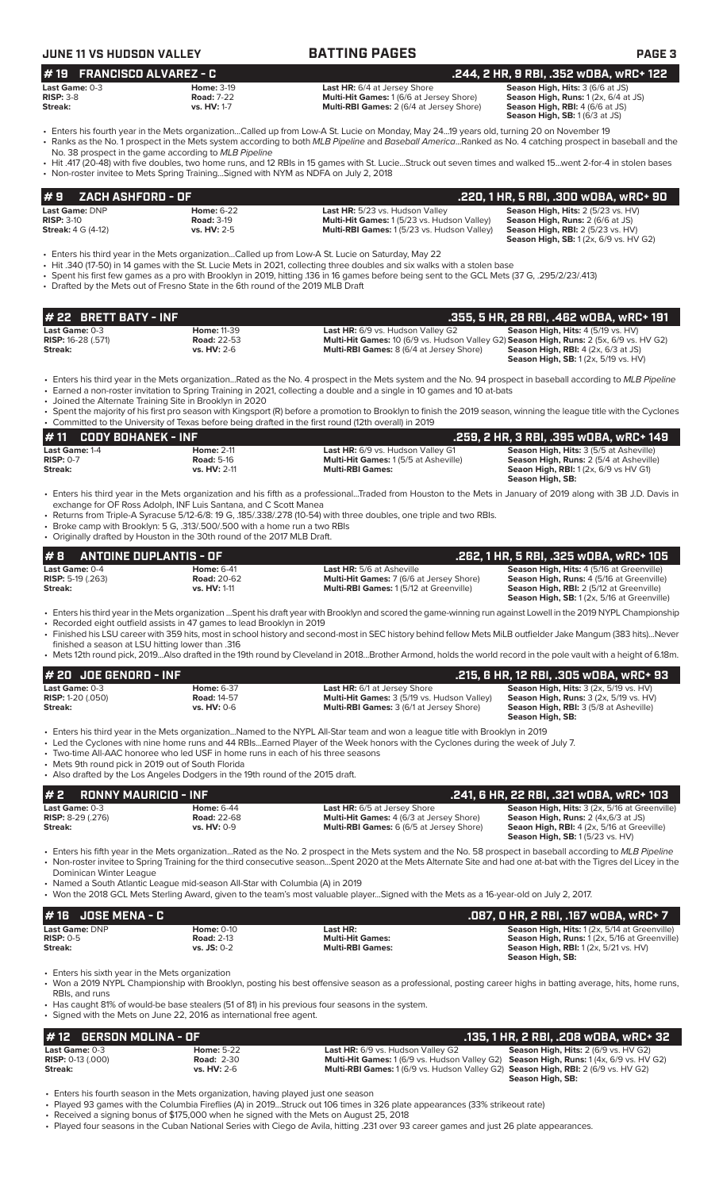| JUNE 11 VS HUDSON VALLEY                                                                                |                                                                                                                                                                                                                            | <b>BATTING PAGES</b>                                                                                                                                                                                                                                                                                                                                                                                                                                                   | <b>PAGE 3</b>                                                                                                                                                                     |
|---------------------------------------------------------------------------------------------------------|----------------------------------------------------------------------------------------------------------------------------------------------------------------------------------------------------------------------------|------------------------------------------------------------------------------------------------------------------------------------------------------------------------------------------------------------------------------------------------------------------------------------------------------------------------------------------------------------------------------------------------------------------------------------------------------------------------|-----------------------------------------------------------------------------------------------------------------------------------------------------------------------------------|
| #19<br><b>FRANCISCO ALVAREZ - C</b>                                                                     |                                                                                                                                                                                                                            |                                                                                                                                                                                                                                                                                                                                                                                                                                                                        | .244, 2 HR, 9 RBI, .352 wOBA, wRC+ 122                                                                                                                                            |
| <b>Last Game:</b> 0-3<br><b>RISP: 3-8</b><br><b>Streak:</b>                                             | <b>Home: 3-19</b><br><b>Road: 7-22</b><br>vs. HV: 1-7                                                                                                                                                                      | <b>Last HR:</b> 6/4 at Jersey Shore<br>Multi-Hit Games: 1 (6/6 at Jersey Shore)<br>Multi-RBI Games: 2 (6/4 at Jersey Shore)                                                                                                                                                                                                                                                                                                                                            | Season High, Hits: 3 (6/6 at JS)<br>Season High, Runs: $1(2x, 6/4$ at JS)<br>Season High, RBI: 4 (6/6 at JS)<br>Season High, SB: 1 (6/3 at JS)                                    |
|                                                                                                         | No. 38 prospect in the game according to MLB Pipeline<br>• Non-roster invitee to Mets Spring TrainingSigned with NYM as NDFA on July 2, 2018                                                                               | · Enters his fourth year in the Mets organizationCalled up from Low-A St. Lucie on Monday, May 2419 years old, turning 20 on November 19<br>• Ranks as the No. 1 prospect in the Mets system according to both MLB Pipeline and Baseball AmericaRanked as No. 4 catching prospect in baseball and the<br>• Hit .417 (20-48) with five doubles, two home runs, and 12 RBIs in 15 games with St. Lucie…Struck out seven times and walked 15…went 2-for-4 in stolen bases |                                                                                                                                                                                   |
| <b>ZACH ASHFORD - OF</b><br>#9                                                                          |                                                                                                                                                                                                                            |                                                                                                                                                                                                                                                                                                                                                                                                                                                                        | .220, 1 HR, 5 RBI, .300 WOBA, WRC+ 90                                                                                                                                             |
| Last Game: DNP<br><b>RISP: 3-10</b><br><b>Streak:</b> 4 G (4-12)                                        | <b>Home: 6-22</b><br><b>Road: 3-19</b><br>vs. HV: 2-5                                                                                                                                                                      | Last HR: 5/23 vs. Hudson Valley<br>Multi-Hit Games: 1 (5/23 vs. Hudson Valley)<br>Multi-RBI Games: 1(5/23 vs. Hudson Valley)                                                                                                                                                                                                                                                                                                                                           | Season High, Hits: 2 (5/23 vs. HV)<br>Season High, Runs: 2 (6/6 at JS)<br><b>Season High, RBI: 2 (5/23 vs. HV)</b><br><b>Season High, SB:</b> 1 (2x, 6/9 vs. HV G2)               |
|                                                                                                         | • Drafted by the Mets out of Fresno State in the 6th round of the 2019 MLB Draft                                                                                                                                           | Enters his third year in the Mets organizationCalled up from Low-A St. Lucie on Saturday, May 22 •<br>• Hit .340 (17-50) in 14 games with the St. Lucie Mets in 2021, collecting three doubles and six walks with a stolen base<br>Spent his first few games as a pro with Brooklyn in 2019, hitting .136 in 16 games before being sent to the GCL Mets (37 G, .295/2/23/.413)                                                                                         |                                                                                                                                                                                   |
| # 22 BRETT BATY - INF                                                                                   |                                                                                                                                                                                                                            |                                                                                                                                                                                                                                                                                                                                                                                                                                                                        | .355, 5 HR, 28 RBI, .462 wOBA, wRC+ 191                                                                                                                                           |
| Last Game: 0-3<br><b>RISP:</b> 16-28 (.571)<br>Streak:                                                  | <b>Home: 11-39</b><br><b>Road: 22-53</b><br><b>vs. HV: 2-6</b>                                                                                                                                                             | Last HR: 6/9 vs. Hudson Valley G2<br>Multi-Hit Games: 10 (6/9 vs. Hudson Valley G2) Season High, Runs: 2 (5x, 6/9 vs. HV G2)<br>Multi-RBI Games: 8 (6/4 at Jersey Shore)                                                                                                                                                                                                                                                                                               | Season High, Hits: 4 (5/19 vs. HV)<br><b>Season High, RBI:</b> $4$ (2x, $6/3$ at JS)<br><b>Season High, SB:</b> 1 (2x, 5/19 vs. HV)                                               |
|                                                                                                         | • Joined the Alternate Training Site in Brooklyn in 2020                                                                                                                                                                   | • Enters his third year in the Mets organizationRated as the No. 4 prospect in the Mets system and the No. 94 prospect in baseball according to MLB Pipeline<br>• Earned a non-roster invitation to Spring Training in 2021, collecting a double and a single in 10 games and 10 at-bats                                                                                                                                                                               |                                                                                                                                                                                   |
|                                                                                                         |                                                                                                                                                                                                                            | • Spent the majority of his first pro season with Kingsport (R) before a promotion to Brooklyn to finish the 2019 season, winning the league title with the Cyclones<br>• Committed to the University of Texas before being drafted in the first round (12th overall) in 2019                                                                                                                                                                                          |                                                                                                                                                                                   |
| <b>CODY BOHANEK - INF</b><br>#11                                                                        |                                                                                                                                                                                                                            |                                                                                                                                                                                                                                                                                                                                                                                                                                                                        | .259, 2 HR, 3 RBI, .395 wOBA, wRC+ 149                                                                                                                                            |
| Last Game: 1-4<br>$RISP: 0-7$<br>Streak:                                                                | <b>Home: 2-11</b><br><b>Road: 5-16</b><br>vs. HV: 2-11                                                                                                                                                                     | Last HR: 6/9 vs. Hudson Valley G1<br>Multi-Hit Games: 1 (5/5 at Asheville)<br><b>Multi-RBI Games:</b>                                                                                                                                                                                                                                                                                                                                                                  | Season High, Hits: 3 (5/5 at Asheville)<br>Season High, Runs: 2 (5/4 at Asheville)<br><b>Seaon High, RBI:</b> 1(2x, 6/9 vs HV G1)<br>Season High, SB:                             |
|                                                                                                         | exchange for OF Ross Adolph, INF Luis Santana, and C Scott Manea<br>• Broke camp with Brooklyn: 5 G, .313/.500/.500 with a home run a two RBIs<br>• Originally drafted by Houston in the 30th round of the 2017 MLB Draft. | · Enters his third year in the Mets organization and his fifth as a professionalTraded from Houston to the Mets in January of 2019 along with 3B J.D. Davis in<br>• Returns from Triple-A Syracuse 5/12-6/8: 19 G, 185/.338/.278 (10-54) with three doubles, one triple and two RBIs.                                                                                                                                                                                  |                                                                                                                                                                                   |
| #8                                                                                                      | <b>ANTOINE DUPLANTIS - OF</b>                                                                                                                                                                                              |                                                                                                                                                                                                                                                                                                                                                                                                                                                                        | .262, 1 HR, 5 RBI, .325 wOBA, wRC+ 105                                                                                                                                            |
| Last Game: 0-4<br><b>RISP:</b> 5-19 (.263)<br>Streak:                                                   | <b>Home: 6-41</b><br><b>Road: 20-62</b><br>vs. HV: 1-11                                                                                                                                                                    | Last HR: 5/6 at Asheville<br>Multi-Hit Games: 7 (6/6 at Jersey Shore)<br>Multi-RBI Games: 1 (5/12 at Greenville)                                                                                                                                                                                                                                                                                                                                                       | Season High, Hits: 4 (5/16 at Greenville)<br>Season High, Runs: 4 (5/16 at Greenville)<br>Season High, RBI: 2 (5/12 at Greenville)<br>Season High, SB: 1 (2x, 5/16 at Greenville) |
| finished a season at LSU hitting lower than .316                                                        | • Recorded eight outfield assists in 47 games to lead Brooklyn in 2019                                                                                                                                                     | · Enters his third year in the Mets organization Spent his draft year with Brooklyn and scored the game-winning run against Lowell in the 2019 NYPL Championship<br>• Finished his LSU career with 359 hits, most in school history and second-most in SEC history behind fellow Mets MiLB outfielder Jake Mangum (383 hits)Never                                                                                                                                      |                                                                                                                                                                                   |
|                                                                                                         |                                                                                                                                                                                                                            | • Mets 12th round pick, 2019Also drafted in the 19th round by Cleveland in 2018Brother Armond, holds the world record in the pole vault with a height of 6.18m.                                                                                                                                                                                                                                                                                                        |                                                                                                                                                                                   |
| # 20 JOE GENORD - INF                                                                                   |                                                                                                                                                                                                                            |                                                                                                                                                                                                                                                                                                                                                                                                                                                                        | .215, 6 HR, 12 RBI, .305 w0BA, wRC+ 93                                                                                                                                            |
| Last Game: 0-3<br>RISP: 1-20 (.050)<br>Streak:                                                          | <b>Home: 6-37</b><br><b>Road: 14-57</b><br>vs. HV: 0-6                                                                                                                                                                     | Last HR: 6/1 at Jersey Shore<br>Multi-Hit Games: 3 (5/19 vs. Hudson Valley)<br>Multi-RBI Games: 3 (6/1 at Jersey Shore)                                                                                                                                                                                                                                                                                                                                                | Season High, Hits: 3 (2x, 5/19 vs. HV)<br>Season High, Runs: 3 (2x, 5/19 vs. HV)<br>Season High, RBI: 3 (5/8 at Asheville)<br>Season High, SB:                                    |
| • Mets 9th round pick in 2019 out of South Florida                                                      | • Two-time All-AAC honoree who led USF in home runs in each of his three seasons<br>• Also drafted by the Los Angeles Dodgers in the 19th round of the 2015 draft.                                                         | • Enters his third year in the Mets organization…Named to the NYPL All-Star team and won a league title with Brooklyn in 2019<br>• Led the Cyclones with nine home runs and 44 RBIsEarned Player of the Week honors with the Cyclones during the week of July 7.                                                                                                                                                                                                       |                                                                                                                                                                                   |
| <b>RONNY MAURICIO - INF</b><br>#2                                                                       |                                                                                                                                                                                                                            |                                                                                                                                                                                                                                                                                                                                                                                                                                                                        | .241, 6 HR, 22 RBI, .321 wOBA, wRC+ 103                                                                                                                                           |
| Last Game: 0-3<br><b>RISP:</b> 8-29 (.276)<br>Streak:                                                   | <b>Home: 6-44</b><br><b>Road: 22-68</b><br>vs. HV: 0-9                                                                                                                                                                     | <b>Last HR:</b> 6/5 at Jersey Shore<br>Multi-Hit Games: 4 (6/3 at Jersey Shore)<br>Multi-RBI Games: 6 (6/5 at Jersey Shore)                                                                                                                                                                                                                                                                                                                                            | Season High, Hits: 3 (2x, 5/16 at Greenville)<br>Season High, Runs: 2 (4x, 6/3 at JS)<br>Seaon High, RBI: 4 (2x, 5/16 at Greeville)<br>Season High, SB: 1 (5/23 vs. HV)           |
| Dominican Winter League                                                                                 | • Named a South Atlantic League mid-season All-Star with Columbia (A) in 2019                                                                                                                                              | • Enters his fifth year in the Mets organizationRated as the No. 2 prospect in the Mets system and the No. 58 prospect in baseball according to MLB Pipeline<br>• Non-roster invitee to Spring Training for the third consecutive seasonSpent 2020 at the Mets Alternate Site and had one at-bat with the Tigres del Licey in the                                                                                                                                      |                                                                                                                                                                                   |
|                                                                                                         |                                                                                                                                                                                                                            | • Won the 2018 GCL Mets Sterling Award, given to the team's most valuable playerSigned with the Mets as a 16-year-old on July 2, 2017.                                                                                                                                                                                                                                                                                                                                 |                                                                                                                                                                                   |
| <b>JOSE MENA - C</b><br># 16                                                                            |                                                                                                                                                                                                                            |                                                                                                                                                                                                                                                                                                                                                                                                                                                                        | .087, 0 HR, 2 RBI, .167 w0BA, wRC+ 7                                                                                                                                              |
| Last Game: DNP<br><b>RISP: 0-5</b><br><b>Streak:</b><br>Entere bio civile vear in the Meta erganization | <b>Home: 0-10</b><br><b>Road: 2-13</b><br>vs. JS: 0-2                                                                                                                                                                      | Last HR:<br><b>Multi-Hit Games:</b><br><b>Multi-RBI Games:</b>                                                                                                                                                                                                                                                                                                                                                                                                         | Season High, Hits: 1 (2x, 5/14 at Greenville)<br>Season High, Runs: 1 (2x, 5/16 at Greenville)<br>Season High, RBI: 1 (2x, 5/21 vs. HV)<br>Season High, SB:                       |

• Enters his sixth year in the Mets organization

• Won a 2019 NYPL Championship with Brooklyn, posting his best offensive season as a professional, posting career highs in batting average, hits, home runs, RBIs, and runs

• Has caught 81% of would-be base stealers (51 of 81) in his previous four seasons in the system.

• Signed with the Mets on June 22, 2016 as international free agent.

| l# 12   GERSON MOLINA - OF   |                   |                                                                                                 | .135. 1 HR. 2 RBI. .208 WOBA. WRC+ 32       |
|------------------------------|-------------------|-------------------------------------------------------------------------------------------------|---------------------------------------------|
| Last Game: $0-3$             | <b>Home: 5-22</b> | Last HR: 6/9 vs. Hudson Valley G2                                                               | <b>Season High, Hits: 2 (6/9 vs. HV G2)</b> |
| <b>RISP:</b> $0-13$ $(.000)$ | <b>Road: 2-30</b> | Multi-Hit Games: 1 (6/9 vs. Hudson Valley G2) Season High, Runs: 1 (4x, 6/9 vs. HV G2)          |                                             |
| Streak:                      | $vs. HV: 2-6$     | <b>Multi-RBI Games:</b> 1 (6/9 vs. Hudson Valley G2) <b>Season High, RBI:</b> 2 (6/9 vs. HV G2) |                                             |
|                              |                   |                                                                                                 | Season High, SB:                            |

• Enters his fourth season in the Mets organization, having played just one season

• Played 93 games with the Columbia Fireflies (A) in 2019...Struck out 106 times in 326 plate appearances (33% strikeout rate)

• Received a signing bonus of \$175,000 when he signed with the Mets on August 25, 2018

• Played four seasons in the Cuban National Series with Ciego de Avila, hitting .231 over 93 career games and just 26 plate appearances.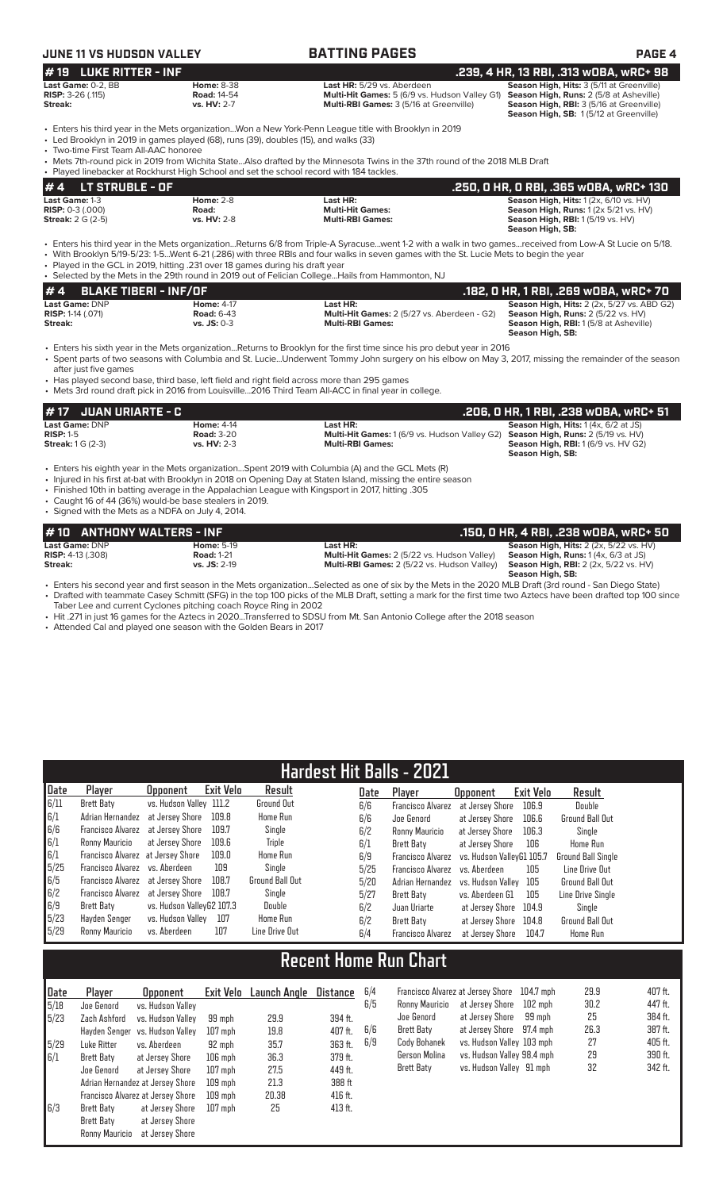| JUNE 11 VS HUDSON VALLEY                                           |                                                                                                                                                                                  | <b>BATTING PAGES</b>                                                                                                                                                                                                                                                                                                                                                                                   | PAGE 4                                                                                                                                                                     |
|--------------------------------------------------------------------|----------------------------------------------------------------------------------------------------------------------------------------------------------------------------------|--------------------------------------------------------------------------------------------------------------------------------------------------------------------------------------------------------------------------------------------------------------------------------------------------------------------------------------------------------------------------------------------------------|----------------------------------------------------------------------------------------------------------------------------------------------------------------------------|
| <b>LUKE RITTER - INF</b><br>#19                                    |                                                                                                                                                                                  |                                                                                                                                                                                                                                                                                                                                                                                                        | .239, 4 HR, 13 RBI, .313 wOBA, wRC+ 98                                                                                                                                     |
| Last Game: 0-2. BB<br><b>RISP:</b> $3-26$ (.115)<br><b>Streak:</b> | <b>Home: 8-38</b><br><b>Road: 14-54</b><br>vs. HV: 2-7                                                                                                                           | Last HR: 5/29 vs. Aberdeen<br><b>Multi-Hit Games:</b> 5 (6/9 vs. Hudson Valley G1)<br>Multi-RBI Games: 3 (5/16 at Greenville)                                                                                                                                                                                                                                                                          | Season High, Hits: 3 (5/11 at Greenville)<br>Season High, Runs: 2 (5/8 at Asheville)<br>Season High, RBI: 3 (5/16 at Greenville)<br>Season High, SB: 1(5/12 at Greenville) |
| • Two-time First Team All-AAC honoree                              | • Led Brooklyn in 2019 in games played (68), runs (39), doubles (15), and walks (33)<br>• Played linebacker at Rockhurst High School and set the school record with 184 tackles. | · Enters his third year in the Mets organizationWon a New York-Penn League title with Brooklyn in 2019<br>• Mets 7th-round pick in 2019 from Wichita StateAlso drafted by the Minnesota Twins in the 37th round of the 2018 MLB Draft                                                                                                                                                                  |                                                                                                                                                                            |
| <b>LT STRUBLE - OF</b><br>#4                                       |                                                                                                                                                                                  |                                                                                                                                                                                                                                                                                                                                                                                                        | .250, 0 HR, 0 RBI, .365 w0BA, wRC+ 130                                                                                                                                     |
| Last Game: 1-3                                                     | <b>Home: 2-8</b>                                                                                                                                                                 | Last HR:                                                                                                                                                                                                                                                                                                                                                                                               | Season High, Hits: 1 (2x, 6/10 vs. HV)                                                                                                                                     |
| <b>RISP: <math>0-3</math> (.000)</b><br><b>Streak:</b> 2 G (2-5)   | Road:<br>vs. HV: 2-8                                                                                                                                                             | <b>Multi-Hit Games:</b><br><b>Multi-RBI Games:</b>                                                                                                                                                                                                                                                                                                                                                     | Season High, Runs: 1 (2x 5/21 vs. HV)<br><b>Season High, RBI:</b> 1 (5/19 vs. HV)<br>Season High, SB:                                                                      |
|                                                                    | • Played in the GCL in 2019, hitting .231 over 18 games during his draft year                                                                                                    | • Enters his third year in the Mets organizationReturns 6/8 from Triple-A Syracusewent 1-2 with a walk in two gamesreceived from Low-A St Lucie on 5/18.<br>• With Brooklyn 5/19-5/23: 1-5Went 6-21 (.286) with three RBIs and four walks in seven games with the St. Lucie Mets to begin the year<br>• Selected by the Mets in the 29th round in 2019 out of Felician CollegeHails from Hammonton, NJ |                                                                                                                                                                            |
| #4<br><b>BLAKE TIBERI - INF/OF</b><br>Last Game: DNP               | <b>Home: 4-17</b>                                                                                                                                                                | Last HR:                                                                                                                                                                                                                                                                                                                                                                                               | .182, 0 HR, 1 RBI, .269 w0BA, wRC+ 70<br>Season High, Hits: 2 (2x, 5/27 vs. ABD G2)                                                                                        |
| <b>RISP:</b> 1-14 (.071)<br>Streak:                                | <b>Road: 6-43</b><br>vs. JS: 0-3                                                                                                                                                 | Multi-Hit Games: 2 (5/27 vs. Aberdeen - G2)<br><b>Multi-RBI Games:</b>                                                                                                                                                                                                                                                                                                                                 | Season High, Runs: 2 (5/22 vs. HV)<br>Season High, RBI: 1 (5/8 at Asheville)<br>Season High, SB:                                                                           |
| after just five games                                              | • Has played second base, third base, left field and right field across more than 295 games                                                                                      | • Enters his sixth year in the Mets organizationReturns to Brooklyn for the first time since his pro debut year in 2016<br>· Spent parts of two seasons with Columbia and St. LucieUnderwent Tommy John surgery on his elbow on May 3, 2017, missing the remainder of the season<br>• Mets 3rd round draft pick in 2016 from Louisville2016 Third Team All-ACC in final year in college.               |                                                                                                                                                                            |
| <b>JUAN URIARTE - C</b><br>#17                                     |                                                                                                                                                                                  |                                                                                                                                                                                                                                                                                                                                                                                                        | .206, 0 HR, 1 RBI, .238 w0BA, wRC+ 51                                                                                                                                      |
| Last Game: DNP                                                     | <b>Home: 4-14</b>                                                                                                                                                                | Last HR:                                                                                                                                                                                                                                                                                                                                                                                               | Season High, Hits: 1 (4x, 6/2 at JS)                                                                                                                                       |
| <b>RISP: 1-5</b><br><b>Streak:</b> 1 G (2-3)                       | <b>Road: 3-20</b><br>vs. HV: 2-3                                                                                                                                                 | Multi-Hit Games: 1 (6/9 vs. Hudson Valley G2)<br><b>Multi-RBI Games:</b>                                                                                                                                                                                                                                                                                                                               | Season High, Runs: 2 (5/19 vs. HV)<br><b>Season High, RBI:</b> 1 (6/9 vs. HV G2)<br>Season High, SB:                                                                       |
| • Signed with the Mets as a NDFA on July 4, 2014.                  | • Caught 16 of 44 (36%) would-be base stealers in 2019.                                                                                                                          | Enters his eighth year in the Mets organizationSpent 2019 with Columbia (A) and the GCL Mets (R)<br>• Injured in his first at-bat with Brooklyn in 2018 on Opening Day at Staten Island, missing the entire season<br>. Finished 10th in batting average in the Appalachian League with Kingsport in 2017, hitting 305                                                                                 |                                                                                                                                                                            |
| #10                                                                | <b>ANTHONY WALTERS - INF</b>                                                                                                                                                     |                                                                                                                                                                                                                                                                                                                                                                                                        | .150, 0 HR, 4 RBI, .238 w0BA, wRC+ 50                                                                                                                                      |
| Last Game: DNP                                                     | <b>Home: 5-19</b>                                                                                                                                                                | Last HR:                                                                                                                                                                                                                                                                                                                                                                                               | Season High, Hits: 2 (2x, 5/22 vs. HV)                                                                                                                                     |
| <b>RISP:</b> 4-13 (.308)<br>Streak:                                | <b>Road: 1-21</b><br>vs. JS: 2-19                                                                                                                                                | Multi-Hit Games: 2 (5/22 vs. Hudson Valley)<br>Multi-RBI Games: 2 (5/22 vs. Hudson Valley)                                                                                                                                                                                                                                                                                                             | Season High, Runs: 1(4x, 6/3 at JS)<br>Season High, RBI: 2 (2x, 5/22 vs. HV)<br>Season High, SB:                                                                           |
|                                                                    |                                                                                                                                                                                  | • Enters his second year and first season in the Mets organizationSelected as one of six by the Mets in the 2020 MLB Draft (3rd round - San Diego State)<br>• Drafted with teammate Casey Schmitt (SFG) in the top 100 picks of the MLB Draft, setting a mark for the first time two Aztecs have been drafted top 100 since                                                                            |                                                                                                                                                                            |

Taber Lee and current Cyclones pitching coach Royce Ring in 2002 • Hit .271 in just 16 games for the Aztecs in 2020...Transferred to SDSU from Mt. San Antonio College after the 2018 season

• Attended Cal and played one season with the Golden Bears in 2017

|      | <b>Hardest Hit Balls - 2021</b>   |                           |           |                 |      |                          |                           |           |                           |  |  |  |  |
|------|-----------------------------------|---------------------------|-----------|-----------------|------|--------------------------|---------------------------|-----------|---------------------------|--|--|--|--|
| Date | Player                            | <b>Opponent</b>           | Exit Velo | Result          | Date | Player                   | <b>Opponent</b>           | Exit Velo | Result                    |  |  |  |  |
| 6/11 | Brett Baty                        | vs. Hudson Valley 111.2   |           | Ground Out      | 6/6  | <b>Francisco Alvarez</b> | at Jersev Shore           | 106.9     | Double                    |  |  |  |  |
| 6/1  | Adrian Hernandez at Jersey Shore  |                           | 109.8     | Home Run        | 6/6  | Joe Genord               | at Jersey Shore           | 106.6     | <b>Ground Ball Out</b>    |  |  |  |  |
| 6/6  | Francisco Alvarez at Jersey Shore |                           | 109.7     | Single          | 6/2  | Ronny Mauricio           | at Jersev Shore           | 106.3     | Single                    |  |  |  |  |
| 6/1  | Ronny Mauricio                    | at Jersev Shore           | 109.6     | <b>Triple</b>   | 6/1  | Brett Baty               | at Jersev Shore           | 106       | Home Run                  |  |  |  |  |
| 6/1  | Francisco Alvarez at Jersey Shore |                           | 109.0     | Home Run        | 6/9  | <b>Francisco Alvarez</b> | vs. Hudson VallevG1 105.7 |           | <b>Ground Ball Single</b> |  |  |  |  |
| 5/25 | Francisco Alvarez vs. Aberdeen    |                           | 109       | Single          | 5/25 | <b>Francisco Alvarez</b> | vs. Aberdeen              | 105       | Line Drive Out            |  |  |  |  |
| 6/5  | Francisco Alvarez at Jersey Shore |                           | 108.7     | Ground Ball Out | 5/20 | Adrian Hernandez         | vs. Hudson Vallev         | 105       | <b>Ground Ball Out</b>    |  |  |  |  |
| 6/2  | Francisco Alvarez at Jersey Shore |                           | 108.7     | Single          | 5/27 | Brett Baty               | vs. Aberdeen G1           | 105       | Line Drive Sinale         |  |  |  |  |
| 6/9  | Brett Baty                        | vs. Hudson VallevG2 107.3 |           | Double          | 6/2  | Juan Uriarte             | at Jersey Shore           | 104.9     | Single                    |  |  |  |  |
| 5/23 | Hayden Senger                     | vs. Hudson Vallev         | 107       | <b>Home Run</b> | 6/2  | Brett Baty               | at Jersey Shore           | 104.8     | Ground Ball Out           |  |  |  |  |
| 5/29 | Ronny Mauricio                    | vs. Aberdeen              | 107       | Line Drive Out  | 6/4  | <b>Francisco Alvarez</b> | at Jersev Shore           | 104.7     | <b>Home Run</b>           |  |  |  |  |

# **Recent Home Run Chart**

| Date | Player                             | <b>Opponent</b>                   |           | Exit Velo Launch Angle | <b>Distance</b> | 6/4 |
|------|------------------------------------|-----------------------------------|-----------|------------------------|-----------------|-----|
| 5/18 | Joe Genord                         | vs. Hudson Valley                 |           |                        |                 | 6/9 |
| 5/23 | Zach Ashford                       | vs. Hudson Valley                 | 99 mph    | 29.9                   | 394 ft.         |     |
|      | vs. Hudson Valley<br>Hayden Senger |                                   | $107$ mph | 19.8                   | 407 ft.         | 6/6 |
| 5/29 | Luke Ritter                        | vs. Aberdeen                      | 92 mph    | 35.7                   | 363 ft.         | 6/9 |
| 6/1  | Brett Baty                         | at Jersey Shore                   | $106$ mph | 36.3                   | 379 ft.         |     |
|      | Joe Genord                         | at Jersey Shore                   | $107$ mph | 27.5                   | 449 ft.         |     |
|      |                                    | Adrian Hernandez at Jersey Shore  | $109$ mph | 21.3                   | 388 ft          |     |
|      |                                    | Francisco Alvarez at Jersey Shore | $109$ mph | 20.38                  | 416 ft.         |     |
| 6/3  | Brett Baty                         | at Jersey Shore                   | $107$ mph | 25                     | 413 ft.         |     |
|      | Brett Baty                         | at Jersey Shore                   |           |                        |                 |     |
|      | Ronny Mauricio                     | at Jersey Shore                   |           |                        |                 |     |

| 6/4 |                   | Francisco Alvarez at Jersey Shore 104.7 mph |        | 29.9 | 407 ft. |
|-----|-------------------|---------------------------------------------|--------|------|---------|
| 6/5 | Ronny Mauricio    | at Jersey Shore 102 mph                     |        | 30.2 | 447 ft. |
|     | Joe Genord        | at Jersey Shore                             | 99 mph | 25   | 384 ft. |
| 6/6 | Brett Baty        | at Jersey Shore 97.4 mph                    |        | 26.3 | 387 ft. |
| 6/9 | Cody Bohanek      | vs. Hudson Valley 103 mph                   |        | 27   | 405 ft. |
|     | Gerson Molina     | vs. Hudson Valley 98.4 mph                  |        | 29   | 390 ft. |
|     | <b>Brett Baty</b> | vs. Hudson Valley 91 mph                    |        | 32   | 342 ft. |
|     |                   |                                             |        |      |         |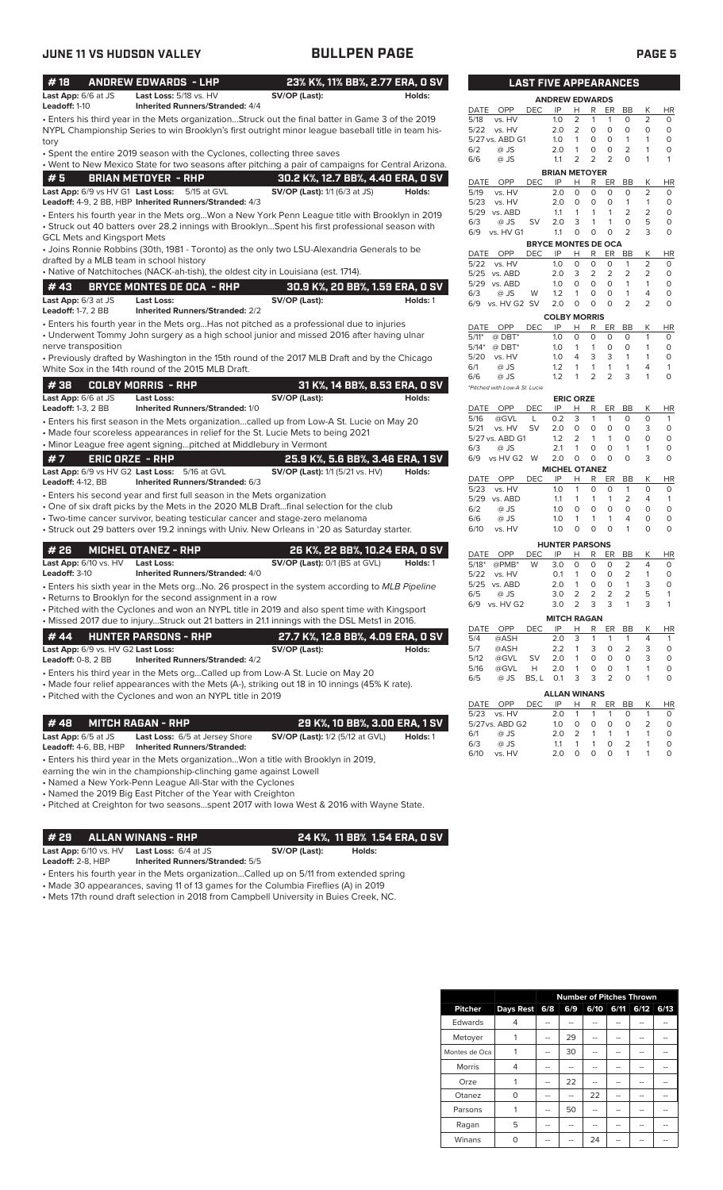| #18                                     | <b>ANDREW EDWARDS - LHP</b>                                              |                                                                                                    | 23% K%, 11% BB%, 2.77 ERA, 0 SV |                                      | <b>LAST FIVE APPEARANCES</b> |                            |                   |                   |                      |                                  |                                |                     |
|-----------------------------------------|--------------------------------------------------------------------------|----------------------------------------------------------------------------------------------------|---------------------------------|--------------------------------------|------------------------------|----------------------------|-------------------|-------------------|----------------------|----------------------------------|--------------------------------|---------------------|
| Last App: 6/6 at JS<br>Leadoff: 1-10    | Last Loss: 5/18 vs. HV<br><b>Inherited Runners/Stranded: 4/4</b>         | SV/OP (Last):                                                                                      | Holds:                          |                                      |                              | <b>ANDREW EDWARDS</b>      |                   |                   |                      |                                  |                                |                     |
|                                         |                                                                          | · Enters his third year in the Mets organizationStruck out the final batter in Game 3 of the 2019  |                                 | DATE<br>OPP<br>5/18<br>vs. HV        | <b>DEC</b>                   | IP<br>1.0                  | Н<br>2            | R<br>$\mathbf{1}$ | ER<br>$\mathbf{1}$   | BB<br>0                          | К<br>$\overline{2}$            | HI<br>0             |
|                                         |                                                                          | NYPL Championship Series to win Brooklyn's first outright minor league baseball title in team his- |                                 | 5/22<br>vs. HV                       |                              | 2.0                        | $\overline{2}$    | 0                 | $\circ$              | 0                                | $\circ$                        | $\mathbf 0$         |
| tory                                    |                                                                          |                                                                                                    |                                 | 5/27 vs. ABD G1                      |                              | 1.0                        | 1                 | 0                 | 0                    | $\mathbf{1}$                     | $\mathbf{1}$                   | $\Omega$            |
|                                         | • Spent the entire 2019 season with the Cyclones, collecting three saves |                                                                                                    |                                 | 6/2                                  | @ JS                         | 2.0                        | $\mathbf{1}$      | $\circ$           | $\circ$              | 2                                | 1                              | 0                   |
|                                         |                                                                          | . Went to New Mexico State for two seasons after pitching a pair of campaigns for Central Arizona. |                                 | 6/6                                  | @ JS                         | 1.1                        | 2                 | $\overline{2}$    | $\overline{2}$       | $\circ$                          | $\mathbf{1}$                   | 1                   |
| #5                                      | <b>BRIAN METOYER - RHP</b>                                               | 30.2 K%, 12.7 BB%, 4.40 ERA, 0 SV                                                                  |                                 |                                      |                              | <b>BRIAN METOYER</b>       |                   |                   |                      |                                  |                                |                     |
|                                         | Last App: 6/9 vs HV G1 Last Loss: 5/15 at GVL                            | <b>SV/OP (Last):</b> 1/1 (6/3 at JS)                                                               | Holds:                          | <b>DATE</b><br>5/19<br>vs. HV        | OPP<br><b>DEC</b>            | IP<br>2.0                  | н<br>$\circ$      | R<br>0            | <b>ER</b><br>$\circ$ | BB<br>$\mathbf 0$                | Κ<br>$\overline{c}$            | HI<br>0             |
|                                         | Leadoff: 4-9, 2 BB, HBP Inherited Runners/Stranded: 4/3                  |                                                                                                    |                                 | 5/23<br>vs. HV                       |                              | 2.0                        | $\circ$           | 0                 | $\circ$              | $\mathbf{1}$                     | $\mathbf{1}$                   | 0                   |
|                                         |                                                                          | Enters his fourth year in the Mets orgWon a New York Penn League title with Brooklyn in 2019 .     |                                 | 5/29 vs. ABD                         |                              | 1.1                        | 1                 | 1                 | $\mathbf{1}$         | $\overline{2}$                   | $\overline{2}$                 | 0                   |
|                                         |                                                                          | • Struck out 40 batters over 28.2 innings with BrooklynSpent his first professional season with    |                                 | 6/3                                  | @ JS<br>SV                   | 2.0                        | 3                 | 1                 | $\mathbf{1}$         | $\mathbf 0$                      | 5                              | 0                   |
| GCL Mets and Kingsport Mets             |                                                                          |                                                                                                    |                                 | 6/9<br>vs. HV G1                     |                              | 1.1                        | $\circ$           | 0                 | $\circ$              | $\overline{2}$                   | 3                              | 0                   |
|                                         |                                                                          | • Joins Ronnie Robbins (30th, 1981 - Toronto) as the only two LSU-Alexandria Generals to be        |                                 |                                      |                              | <b>BRYCE MONTES DE OCA</b> |                   |                   |                      |                                  |                                |                     |
| drafted by a MLB team in school history |                                                                          |                                                                                                    |                                 | OPP<br>DATE<br>5/22<br>vs. HV        | DEC                          | IP<br>1.0                  | H<br>$\mathbf 0$  | R<br>0            | ER<br>0              | <b>BB</b><br>1                   | Κ<br>2                         | HI<br>0             |
|                                         |                                                                          | • Native of Natchitoches (NACK-ah-tish), the oldest city in Louisiana (est. 1714).                 |                                 | 5/25 vs. ABD                         |                              | 2.0                        | 3                 | 2                 | $\overline{2}$       | 2                                | $\overline{2}$                 | $\Omega$            |
| #43                                     | <b>BRYCE MONTES DE OCA - RHP</b>                                         |                                                                                                    | 30.9 K%, 20 BB%, 1.59 ERA, 0 SV | 5/29<br>vs. ABD                      |                              | 1.0                        | $\mathbf 0$       | 0                 | $\circ$              | $\mathbf{1}$                     | $\mathbf{1}$                   | $\mathbf 0$         |
| Last App: 6/3 at JS                     | <b>Last Loss:</b>                                                        | SV/OP (Last):                                                                                      | Holds: 1                        | 6/3                                  | @ JS<br>W                    | 1.2                        | 1                 | 0                 | 0                    | 1                                | 4                              | 0                   |
| <b>Leadoff:</b> 1-7, 2 BB               | <b>Inherited Runners/Stranded: 2/2</b>                                   |                                                                                                    |                                 | 6/9                                  | vs. HV G2 SV                 | 2.0                        | 0                 | $\mathbf 0$       | $\Omega$             | $\overline{2}$                   | $\overline{2}$                 | 0                   |
|                                         |                                                                          | • Enters his fourth year in the Mets orgHas not pitched as a professional due to injuries          |                                 |                                      |                              | <b>COLBY MORRIS</b>        |                   |                   |                      |                                  |                                |                     |
|                                         |                                                                          | • Underwent Tommy John surgery as a high school junior and missed 2016 after having ulnar          |                                 | DATE<br>OPP                          | <b>DEC</b>                   | IP                         | н                 | R                 | ER                   | BB<br>$\Omega$                   | Κ                              | HI                  |
| nerve transposition                     |                                                                          |                                                                                                    |                                 | $5/11*$<br>$@$ DBT*<br>$5/14*$       | $@$ DBT*                     | 1.0<br>1.0                 | 0<br>$\mathbf{1}$ | 0<br>$\mathbf{1}$ | $\circ$<br>$\circ$   | $\circ$                          | 1<br>1                         | $\circ$<br>0        |
|                                         |                                                                          | • Previously drafted by Washington in the 15th round of the 2017 MLB Draft and by the Chicago      |                                 | 5/20<br>vs. HV                       |                              | 1.0                        | 4                 | 3                 | 3                    | 1                                | $\mathbf{1}$                   | $\circ$             |
|                                         | White Sox in the 14th round of the 2015 MLB Draft.                       |                                                                                                    |                                 | 6/1                                  | @ JS                         | 1.2                        | $\mathbf{1}$      | 1                 | 1                    | 1                                | 4                              | 1                   |
|                                         |                                                                          |                                                                                                    |                                 | @ JS<br>6/6                          |                              | 1.2                        | 1                 | 2                 | 2                    | 3                                | 1                              | 0                   |
| #38                                     | <b>COLBY MORRIS - RHP</b>                                                |                                                                                                    | 31 K%, 14 BB%, 8.53 ERA, 0 SV   | *Pitched with Low-A St. Lucie        |                              |                            |                   |                   |                      |                                  |                                |                     |
| Last App: 6/6 at JS                     | <b>Last Loss:</b>                                                        | SV/OP (Last):                                                                                      | Holds:                          |                                      |                              |                            | <b>ERIC ORZE</b>  |                   |                      |                                  |                                |                     |
| Leadoff: 1-3, 2 BB                      | Inherited Runners/Stranded: 1/0                                          |                                                                                                    |                                 | OPP<br>DATE<br>5/16                  | <b>DEC</b><br>@GVL<br>L      | IP<br>0.2                  | н<br>3            | R<br>$\mathbf{1}$ | ER<br>$\mathbf{1}$   | BB<br>$\circ$                    | К<br>$\circ$                   | HI<br>$\mathbf{1}$  |
|                                         |                                                                          | Enters his first season in the Mets organizationcalled up from Low-A St. Lucie on May 20           |                                 | 5/21                                 | vs. HV<br><b>SV</b>          | 2.0                        | 0                 | 0                 | $\circ$              | 0                                | 3                              | $\mathbf 0$         |
|                                         |                                                                          | • Made four scoreless appearances in relief for the St. Lucie Mets to being 2021                   |                                 | 5/27 vs. ABD G1                      |                              | 1.2                        | 2                 | 1                 | $\mathbf{1}$         | 0                                | $\circ$                        | 0                   |
|                                         | • Minor League free agent signingpitched at Middlebury in Vermont        |                                                                                                    |                                 | 6/3                                  | @ JS                         | 2.1                        | $\mathbf{1}$      | $\mathbf 0$       | $\circ$              | $\mathbf{1}$                     | $\mathbf{1}$                   | 0                   |
| #7                                      | <b>ERIC ORZE - RHP</b>                                                   | 25.9 K%, 5.6 BB%, 3.46 ERA, 1 SV                                                                   |                                 | 6/9                                  | vs HV G2 W                   | 2.0                        | 0                 | $\mathbf 0$       | $\Omega$             | 0                                | 3                              | $\Omega$            |
|                                         | Last App: 6/9 vs HV G2 Last Loss: 5/16 at GVL                            | <b>SV/OP (Last):</b> 1/1 (5/21 vs. HV)                                                             | Holds:                          | DATE<br>OPP                          | <b>DEC</b>                   | <b>MICHEL OTANEZ</b><br>IP | н                 | R                 | ER                   | BB                               | Κ                              | HI                  |
| <b>Leadoff: 4-12, BB</b>                | Inherited Runners/Stranded: 6/3                                          |                                                                                                    |                                 | 5/23<br>vs. HV                       |                              | 1.0                        | 1                 | 0                 | $\circ$              | 1                                | $\circ$                        | 0                   |
|                                         | • Enters his second year and first full season in the Mets organization  |                                                                                                    |                                 | 5/29<br>vs. ABD                      |                              | 1.1                        | 1                 | 1                 | $\mathbf{1}$         | 2                                | 4                              | 1                   |
|                                         |                                                                          | • One of six draft picks by the Mets in the 2020 MLB Draftfinal selection for the club             |                                 | 6/2                                  | @ JS                         | 1.0                        | O                 | 0                 | $\circ$              | $\mathbf 0$                      | $\circ$                        | 0                   |
|                                         |                                                                          | • Two-time cancer survivor, beating testicular cancer and stage-zero melanoma                      |                                 | 6/6                                  | @ JS                         | 1.0                        | $\mathbf{1}$      | 1                 | $\mathbf{1}$         | 4                                | $\circ$                        | 0                   |
|                                         |                                                                          | · Struck out 29 batters over 19.2 innings with Univ. New Orleans in '20 as Saturday starter.       |                                 | 6/10<br>vs. HV                       |                              | 1.0                        | 0                 | 0                 | $\Omega$             | 1                                | $\circ$                        | 0                   |
| #26                                     | <b>MICHEL OTANEZ - RHP</b>                                               |                                                                                                    | 26 K%, 22 BB%, 10.24 ERA, 0 SV  |                                      |                              | <b>HUNTER PARSONS</b>      |                   |                   |                      |                                  |                                |                     |
| Last App: 6/10 vs. HV                   | <b>Last Loss:</b>                                                        | SV/OP (Last): 0/1 (BS at GVL)                                                                      | Holds: 1                        | OPP<br>DATE                          | DEC                          | IP                         | н                 | R                 | ER                   | BB                               | Κ                              | HI                  |
| Leadoff: 3-10                           | <b>Inherited Runners/Stranded: 4/0</b>                                   |                                                                                                    |                                 | $5/18*$<br>$@PMB*$<br>5/22<br>vs. HV | W                            | 3.0<br>0.1                 | 0<br>$\mathbf{1}$ | 0<br>$\circ$      | $\Omega$<br>$\circ$  | $\overline{2}$<br>$\overline{2}$ | $\overline{4}$<br>$\mathbf{1}$ | $\Omega$<br>$\circ$ |
|                                         |                                                                          | Enters his sixth year in the Mets orgNo. 26 prospect in the system according to MLB Pipeline       |                                 | 5/25 vs. ABD                         |                              | 2.0                        | 1                 | 0                 | 0                    | $\mathbf{1}$                     | 3                              | 0                   |
|                                         | • Returns to Brooklyn for the second assignment in a row                 |                                                                                                    |                                 | 6/5<br>@ JS                          |                              | 3.0                        | 2                 | 2                 | 2                    | 2                                | 5                              | $\mathbf{1}$        |
|                                         |                                                                          | • Pitched with the Cyclones and won an NYPL title in 2019 and also spent time with Kingsport       |                                 | 6/9 vs. HV G2                        |                              | 3.0                        | $\overline{2}$    | 3                 | 3                    | 1                                | 3                              | $\mathbf{1}$        |
|                                         |                                                                          | • Missed 2017 due to injuryStruck out 21 batters in 21.1 innings with the DSL Mets1 in 2016.       |                                 |                                      |                              | <b>MITCH RAGAN</b>         |                   |                   |                      |                                  |                                |                     |
|                                         |                                                                          |                                                                                                    |                                 | DATE                                 | OPP<br>DEC                   | IP                         | H                 | R                 | ER                   | BB                               | Κ                              | HI                  |
| #44                                     | <b>HUNTER PARSONS - RHP</b>                                              | 27.7 K%, 12.8 BB%, 4.09 ERA, 0 SV                                                                  |                                 | 5/4                                  | @ASH                         | 2.0                        | 3                 | 1                 | 1                    | 1                                | 4                              | $\mathbf{1}$        |
| Last App: 6/9 vs. HV G2 Last Loss:      |                                                                          | SV/OP (Last):                                                                                      | Holds:                          | 5/7<br>5/12                          | @ASH<br>SV                   | 2.2<br>2.0                 | 1<br>1            | 3<br>0            | 0<br>0               | 2<br>0                           | 3<br>3                         | $\circ$<br>0        |
| <b>Leadoff: 0-8, 2 BB</b>               | <b>Inherited Runners/Stranded: 4/2</b>                                   |                                                                                                    |                                 | 5/16                                 | @GVL<br>@GVL<br>Н            | 2.0                        | 1                 | 0                 | 0                    | 1                                | 1                              | 0                   |
|                                         |                                                                          | • Enters his third year in the Mets orgCalled up from Low-A St. Lucie on May 20                    |                                 | 6/5                                  | @ JS<br>BS, L                | 0.1                        | 3                 | 3                 | $\overline{2}$       | 0                                | 1                              | 0                   |
|                                         |                                                                          | • Made four relief appearances with the Mets (A-), striking out 18 in 10 innings (45% K rate).     |                                 |                                      |                              |                            |                   |                   |                      |                                  |                                |                     |
|                                         | • Pitched with the Cyclones and won an NYPL title in 2019                |                                                                                                    |                                 | OPP<br>DATE                          | DEC                          | <b>ALLAN WINANS</b><br>IP  | н                 | R                 | ER                   | BB                               | Κ                              | H <sub>1</sub>      |
|                                         |                                                                          |                                                                                                    |                                 | 5/23 vs. HV                          |                              | 2.0                        | 1                 |                   | 1                    | 0                                | 1                              | O                   |
| # 48                                    | <b>MITCH RAGAN - RHP</b>                                                 |                                                                                                    | 29 K%, 10 BB%, 3.00 ERA, 1 SV   | 5/27 vs. ABD G2                      |                              | 1.0                        | 0                 | 0                 | 0                    | 0                                | 2                              | 0                   |
| Last App: 6/5 at JS                     | <b>Last Loss: 6/5 at Jersey Shore</b>                                    | <b>SV/OP (Last):</b> 1/2 (5/12 at GVL)                                                             | Holds: 1                        | 6/1                                  | @ JS                         | 2.0                        | 2                 | 1                 | $\mathbf{1}$         | 1                                | 1                              | 0                   |
| <b>Leadoff:</b> 4-6, BB, HBP            | <b>Inherited Runners/Stranded:</b>                                       |                                                                                                    |                                 | 6/3                                  | @ JS                         | 1.1                        | 1                 | 1                 | 0                    | 2                                | 1                              | 0                   |
|                                         |                                                                          |                                                                                                    |                                 | 6/10                                 | vs. HV                       | 2.0                        | 0                 | 0                 | 0                    | 1                                | 1                              | 0                   |

• Enters his third year in the Mets organization...Won a title with Brooklyn in 2019,

earning the win in the championship-clinching game against Lowell

• Named a New York-Penn League All-Star with the Cyclones

• Named the 2019 Big East Pitcher of the Year with Creighton

• Pitched at Creighton for two seasons...spent 2017 with Iowa West & 2016 with Wayne State.

**# 29 ALLAN WINANS - RHP 24 K%, 11 BB% 1.54 ERA, 0 SV Last App:** 6/10 vs. HV **Last Loss:** 6/4 at JS **SV/OP (Last): Holds:**

**Leadoff:** 2-8, HBP **Inherited Runners/Stranded:** 5/5

• Enters his fourth year in the Mets organization...Called up on 5/11 from extended spring

• Made 30 appearances, saving 11 of 13 games for the Columbia Fireflies (A) in 2019

• Mets 17th round draft selection in 2018 from Campbell University in Buies Creek, NC.

|                               | <b>LAST FIVE APPEARANCES</b> |                            |                  |                |                |                |                |           |
|-------------------------------|------------------------------|----------------------------|------------------|----------------|----------------|----------------|----------------|-----------|
|                               |                              | <b>ANDREW EDWARDS</b>      |                  |                |                |                |                |           |
| DATE<br>OPP                   | DEC                          | P                          | н                | R              | ER             | <b>BB</b>      | Κ              | <b>HR</b> |
| 5/18<br>vs. HV                |                              | 1.0                        | $\overline{2}$   | 1              | 1              | 0              | 2              | 0         |
| 5/22<br>vs. HV                |                              | 2.0                        | 2                | 0              | 0              | 0              | 0              | 0         |
| 5/27 vs. ABD G1               |                              | 1.0                        | 1                | 0              | 0              | 1              | 1              | 0         |
| 6/2<br>@ JS                   |                              | 2.0                        | 1                | 0              | 0              | 2              | 1              | 0         |
| 6/6<br>@ JS                   |                              | 1.1                        | 2                | 2              | 2              | 0              | 1              | 1         |
|                               |                              | <b>BRIAN METOYER</b>       |                  |                |                |                |                |           |
| DATE<br>OPP                   | DEC                          | IP                         | н                | R              | ER             | BB             | Κ              | ΗR        |
| 5/19<br>vs. HV                |                              | 2.0                        | 0                | 0              | 0              | 0              | 2              | 0         |
| 5/23<br>vs. HV                |                              | 2.0                        | 0                | 0              | 0              | 1              | 1              | 0         |
| 5/29<br>vs. ABD               |                              | 1.1                        | 1                | 1              | 1              | $\overline{2}$ | $\overline{2}$ | 0         |
| 6/3<br>@ JS                   | SV                           | 2.0                        | 3                | 1              | 1              | 0              | 5              | 0         |
| vs. HV G1<br>6/9              |                              | 1.1                        | 0                | 0              | 0              | $\overline{2}$ | 3              | 0         |
|                               |                              | <b>BRYCE MONTES DE OCA</b> |                  |                |                |                |                |           |
| DATE<br>OPP                   | DEC                          | IP                         | Н                | R              | ER             | BB             | Κ              | HR        |
| 5/22<br>vs. HV                |                              | 1.0                        | 0                | 0              | 0              | 1              | $\overline{2}$ | 0         |
| 5/25<br>vs. ABD               |                              | 2.0                        | 3                | 2              | 2              | 2              | 2              | 0         |
| 5/29<br>vs. ABD               |                              | 1.0                        | 0                | 0              | 0              | 1              | 1              | 0         |
| 6/3<br>@ JS                   | W                            | 1.2                        | 1                | 0              | 0              | 1              | 4              | 0         |
| 6/9<br>vs. HV G2              | <b>SV</b>                    | 2.0                        | 0                | 0              | 0              | 2              | 2              | 0         |
|                               |                              | <b>COLBY MORRIS</b>        |                  |                |                |                |                |           |
| <b>DATE</b><br>OPP            | DEC                          | IP                         | Н                | R              | ER             | BB             | Κ              | ΗR        |
| $5/11*$<br>$@$ DBT*           |                              | 1.0                        | 0                | 0              | 0              | 0              | 1              | 0         |
| $5/14*$<br>$@$ DBT*           |                              | 1.0                        | 1                | 1              | 0              | 0              | 1              | 0         |
| 5/20<br>vs. HV                |                              | 1.0                        | 4                | 3              | 3              | 1              | 1              | 0         |
| 6/1<br>@ JS                   |                              | 1.2                        | 1                | 1              | 1              | 1              | 4              | 1         |
| @ JS<br>6/6                   |                              | 1.2                        | 1                | $\overline{2}$ | 2              | 3              | 1              | 0         |
| *Pitched with Low-A St. Lucie |                              |                            |                  |                |                |                |                |           |
|                               |                              |                            | <b>ERIC ORZE</b> |                |                |                |                |           |
| DATE<br>OPP                   | DEC                          | IP                         | Н                | R              | ER             | BB             | Κ              | <b>HR</b> |
| 5/16<br>@GVL                  | L                            | 0.2                        | 3                | 1              | 1              | 0              | 0              | 1         |
| 5/21<br>vs. HV                | SV                           | 2.0                        | 0                | 0              | 0              | 0              | 3              | 0         |
| 5/27 vs. ABD G1               |                              | 1.2                        | 2                | 1              | 1              | 0              | 0              | 0         |
| @ JS<br>6/3                   |                              | 2.1                        | 1                | 0              | 0              | 1              | 1              | 0         |
| vs HV G2<br>6/9               | W                            | 2.0                        | 0                | 0              | 0              | 0              | 3              | 0         |
|                               |                              | <b>MICHEL OTANEZ</b>       |                  |                |                |                |                |           |
| DATE<br>OPP                   | DEC                          | IP                         | Н                | R              | ER             | BB             | Κ              | <b>HR</b> |
| 5/23<br>vs. HV                |                              | 1.0                        | 1                | 0              | 0              | 1              | 0              | 0         |
| 5/29<br>vs. ABD               |                              | 1.1                        | 1                | 1              | 1              | 2              | 4              | 1         |
| 6/2<br>@ JS                   |                              | 1.0                        | 0                | 0              | 0              | 0              | 0              | 0         |
| @ JS<br>6/6                   |                              | 1.0                        | 1                | 1              | 1              | 4              | 0              | 0         |
| 6/10<br>vs. HV                |                              | 1.0                        | 0                | 0              | 0              | 1              | 0              | 0         |
|                               |                              | <b>HUNTER PARSONS</b>      |                  |                |                |                |                |           |
| DATE<br>OPP                   | DEC                          | IP                         | Н                | R              | ER             | BB             | Κ              | HR        |
| $5/18*$<br>$@PMB*$            | W                            | 3.0                        | 0                | 0              | 0              | 2              | 4              | 0         |
| 5/22<br>vs. HV                |                              | 0.1                        | 1                | 0              | 0              | 2              | 1              | 0         |
| 5/25<br>vs. ABD               |                              | 2.0                        | 1                | 0              | 0              | 1              | 3              | 0         |
| 6/5<br>@ JS                   |                              | 3.0                        | 2                | 2              | $\overline{2}$ | 2              | 5              | 1         |
| 6/9<br>vs. HV G2              |                              | 3.0                        | 2                | 3              | 3              | 1              | 3              | 1         |
|                               |                              |                            |                  |                |                |                |                |           |
|                               |                              | <b>MITCH RAGAN</b>         |                  |                |                |                |                |           |
| DATE<br>OPP                   | DEC                          | IP                         | н                | R              | ER             | ВB             | Κ              | HR        |
| 5/4<br>@ASH                   |                              | 2.0                        | 3                | 1              | 1              | 1              | 4              | 1         |
| 5/7<br>@ASH                   |                              | 2.2                        | 1                | 3              | 0              | 2              | 3              | 0         |
| 5/12<br>@GVL                  | SV                           | 2.0                        | 1                | 0              | 0              | 0              | 3              | 0         |
| 5/16<br>@GVL                  | н                            | 2.0                        | 1                | 0              | 0              | 1              | 1              | 0         |
| 6/5<br>@ JS                   | BS, L                        | 0.1                        | 3                | 3              | $\overline{2}$ | 0              | 1              | 0         |
|                               |                              | <b>ALLAN WINANS</b>        |                  |                |                |                |                |           |
| DATE<br><b>OPP</b>            | DEC                          | IP                         | Н                | R              | ER             | BB             | Κ              | <b>HR</b> |
| 5/23<br>vs. HV                |                              | 2.0                        | 1                | 1              | 1              | 0              | 1              | 0         |
| 5/27 vs. ABD G2               |                              | 1.0                        | 0                | 0              | 0              | 0              | $\overline{c}$ | 0         |

|                |           | <b>Number of Pitches Thrown</b> |     |      |      |      |      |  |  |  |  |
|----------------|-----------|---------------------------------|-----|------|------|------|------|--|--|--|--|
| <b>Pitcher</b> | Days Rest | 6/8                             | 6/9 | 6/10 | 6/11 | 6/12 | 6/13 |  |  |  |  |
| Edwards        | 4         |                                 |     |      |      |      |      |  |  |  |  |
| Metoyer        |           | --                              | 29  |      | --   |      |      |  |  |  |  |
| Montes de Oca  |           | --                              | 30  |      |      |      |      |  |  |  |  |
| Morris         | 4         |                                 |     |      |      |      |      |  |  |  |  |
| Orze           |           | --                              | 22  |      |      |      |      |  |  |  |  |
| Otanez         | $\Omega$  | --                              | --  | 22   | -    | --   |      |  |  |  |  |
| Parsons        |           | --                              | 50  | --   | --   |      |      |  |  |  |  |
| Ragan          | 5         | --                              |     |      | --   |      |      |  |  |  |  |
| Winans         |           |                                 |     | 24   |      |      |      |  |  |  |  |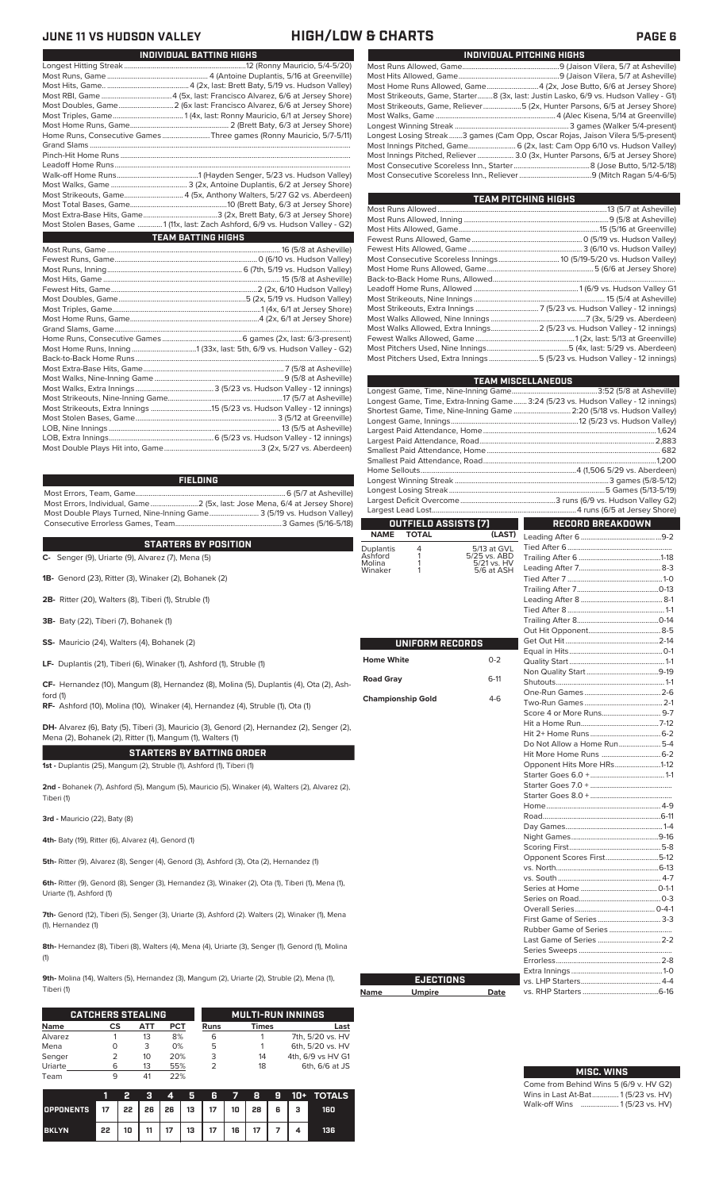### **JUNE 11 VS HUDSON VALLEY HIGH/LOW & CHARTS PAGE 6**

| INDIVIDUAL BATTING HIGHS                                                         |
|----------------------------------------------------------------------------------|
|                                                                                  |
|                                                                                  |
|                                                                                  |
|                                                                                  |
|                                                                                  |
|                                                                                  |
|                                                                                  |
| Home Runs, Consecutive Games Three games (Ronny Mauricio, 5/7-5/11)              |
|                                                                                  |
|                                                                                  |
|                                                                                  |
|                                                                                  |
|                                                                                  |
| Most Strikeouts, Game 4 (5x, Anthony Walters, 5/27 G2 vs. Aberdeen)              |
|                                                                                  |
|                                                                                  |
| Most Stolen Bases, Game  1 (11x, last: Zach Ashford, 6/9 vs. Hudson Valley - G2) |
| <b>TEAM BATTING HIGHS</b>                                                        |
|                                                                                  |
|                                                                                  |
|                                                                                  |
|                                                                                  |
|                                                                                  |
|                                                                                  |
|                                                                                  |
|                                                                                  |
|                                                                                  |
|                                                                                  |
|                                                                                  |
|                                                                                  |
|                                                                                  |
|                                                                                  |
|                                                                                  |
|                                                                                  |
|                                                                                  |
|                                                                                  |
|                                                                                  |
|                                                                                  |
|                                                                                  |

### **FIELDING**

Most Errors, Team, Game...............................................................................6 (5/7 at Asheville) Most Errors, Individual, Game.........................2 (5x, last: Jose Mena, 6/4 at Jersey Shore) Most Double Plays Turned, Nine-Inning Game.......................... 3 (5/19 vs. Hudson Valley) Consecutive Errorless Games, Team.

**C-** Senger (9), Uriarte (9), Alvarez (7), Mena (5) **STARTERS BY POSITION**

**1B-** Genord (23), Ritter (3), Winaker (2), Bohanek (2)

**2B-** Ritter (20), Walters (8), Tiberi (1), Struble (1)

- **3B-** Baty (22), Tiberi (7), Bohanek (1)
- **SS-** Mauricio (24), Walters (4), Bohanek (2)

**LF-** Duplantis (21), Tiberi (6), Winaker (1), Ashford (1), Struble (1)

**CF-** Hernandez (10), Mangum (8), Hernandez (8), Molina (5), Duplantis (4), Ota (2), Ashford (1)

**RF-** Ashford (10), Molina (10), Winaker (4), Hernandez (4), Struble (1), Ota (1)

**DH-** Alvarez (6), Baty (5), Tiberi (3), Mauricio (3), Genord (2), Hernandez (2), Senger (2), Mena (2), Bohanek (2), Ritter (1), Mangum (1), Walters (1)

**STARTERS BY BATTING ORDER 1st -** Duplantis (25), Mangum (2), Struble (1), Ashford (1), Tiberi (1)

**2nd -** Bohanek (7), Ashford (5), Mangum (5), Mauricio (5), Winaker (4), Walters (2), Alvarez (2), Tiberi (1)

**3rd -** Mauricio (22), Baty (8)

**4th-** Baty (19), Ritter (6), Alvarez (4), Genord (1)

**5th-** Ritter (9), Alvarez (8), Senger (4), Genord (3), Ashford (3), Ota (2), Hernandez (1)

**6th-** Ritter (9), Genord (8), Senger (3), Hernandez (3), Winaker (2), Ota (1), Tiberi (1), Mena (1), Uriarte (1), Ashford (1)

**7th-** Genord (12), Tiberi (5), Senger (3), Uriarte (3), Ashford (2). Walters (2), Winaker (1), Mena (1), Hernandez (1)

8th- Hernandez (8), Tiberi (8), Walters (4), Mena (4), Uriarte (3), Senger (1), Genord (1), Molina (1)

**9th-** Molina (14), Walters (5), Hernandez (3), Mangum (2), Uriarte (2), Struble (2), Mena (1), Tiberi (1)

Г

|             | <b>CATCHERS STEALING</b> |     |            |      | <b>MULTI-RUN INNINGS</b> |                   |
|-------------|--------------------------|-----|------------|------|--------------------------|-------------------|
| <b>Name</b> | CS                       | АТТ | <b>PCT</b> | Runs | <b>Times</b>             | Last              |
| Alvarez     |                          | 13  | 8%         | 6    |                          | 7th, 5/20 vs. HV  |
| Mena        | O                        | 3   | 0%         | 5    |                          | 6th, 5/20 vs. HV  |
| Senger      |                          | 10  | 20%        | 3    | 14                       | 4th, 6/9 vs HV G1 |
| Uriarte     | 6                        | 13  | 55%        |      | 18                       | 6th, 6/6 at JS    |
| Team        |                          | 41  | 22%        |      |                          |                   |

|                                     |    | פ  | a  | 4  | Б. | Æ  | - 7 -             | -8 |     | <b>9 10+ TOTALS</b> |
|-------------------------------------|----|----|----|----|----|----|-------------------|----|-----|---------------------|
| OPPONENTS 17 22 26 26 13 17 10 28 6 |    |    |    |    |    |    |                   |    | - 3 | 160                 |
| <b>BKLYN</b>                        | 22 | 10 | 11 | 17 | 13 | 17 | $16$   $\sqrt{2}$ | 17 |     | 136                 |

| INDIVIDUAL PITCHING HIGHS                                                            |
|--------------------------------------------------------------------------------------|
|                                                                                      |
|                                                                                      |
| Most Home Runs Allowed, Game 4 (2x, Jose Butto, 6/6 at Jersey Shore)                 |
| Most Strikeouts, Game, Starter8 (3x, last: Justin Lasko, 6/9 vs. Hudson Valley - G1) |
| Most Strikeouts, Game, Reliever……………………5 (2x, Hunter Parsons, 6/5 at Jersey Shore)   |
|                                                                                      |
|                                                                                      |
| Longest Losing Streak3 games (Cam Opp, Oscar Rojas, Jaison Vilera 5/5-present)       |
| Most Innings Pitched, Game 6 (2x, last: Cam Opp 6/10 vs. Hudson Valley)              |
| Most Innings Pitched, Reliever  3.0 (3x, Hunter Parsons, 6/5 at Jersey Shore)        |
|                                                                                      |
|                                                                                      |
|                                                                                      |

| <b>TEAM PITCHING HIGHS</b>                                                |  |  |  |  |  |  |  |  |  |
|---------------------------------------------------------------------------|--|--|--|--|--|--|--|--|--|
|                                                                           |  |  |  |  |  |  |  |  |  |
|                                                                           |  |  |  |  |  |  |  |  |  |
|                                                                           |  |  |  |  |  |  |  |  |  |
|                                                                           |  |  |  |  |  |  |  |  |  |
|                                                                           |  |  |  |  |  |  |  |  |  |
|                                                                           |  |  |  |  |  |  |  |  |  |
|                                                                           |  |  |  |  |  |  |  |  |  |
|                                                                           |  |  |  |  |  |  |  |  |  |
|                                                                           |  |  |  |  |  |  |  |  |  |
|                                                                           |  |  |  |  |  |  |  |  |  |
|                                                                           |  |  |  |  |  |  |  |  |  |
|                                                                           |  |  |  |  |  |  |  |  |  |
| Most Walks Allowed, Extra Innings 2 (5/23 vs. Hudson Valley - 12 innings) |  |  |  |  |  |  |  |  |  |
|                                                                           |  |  |  |  |  |  |  |  |  |
|                                                                           |  |  |  |  |  |  |  |  |  |
| Most Pitchers Used, Extra Innings 5 (5/23 vs. Hudson Valley - 12 innings) |  |  |  |  |  |  |  |  |  |

|                          |                        |                                | <b>TEAM MISCELLANEOUS</b>                                                         |  |
|--------------------------|------------------------|--------------------------------|-----------------------------------------------------------------------------------|--|
|                          |                        |                                |                                                                                   |  |
|                          |                        |                                | Longest Game, Time, Extra-Inning Game  3:24 (5/23 vs. Hudson Valley - 12 innings) |  |
|                          |                        |                                | Shortest Game, Time, Nine-Inning Game  2:20 (5/18 vs. Hudson Valley)              |  |
|                          |                        |                                |                                                                                   |  |
|                          |                        |                                |                                                                                   |  |
|                          |                        |                                |                                                                                   |  |
|                          |                        |                                |                                                                                   |  |
|                          |                        |                                |                                                                                   |  |
|                          |                        |                                |                                                                                   |  |
|                          |                        |                                |                                                                                   |  |
|                          |                        |                                |                                                                                   |  |
|                          |                        |                                |                                                                                   |  |
| <b>NAME</b>              | <b>TOTAL</b>           | OUTFIELD ASSISTS (7)<br>(LAST) | RECORD BREAKDOWN                                                                  |  |
|                          |                        |                                |                                                                                   |  |
| Duplantis<br>Ashford     | 4<br>1                 | 5/13 at GVL<br>5/25 vs. ABD    |                                                                                   |  |
| Molina                   | 1                      | 5/21 vs. HV                    |                                                                                   |  |
| Winaker                  | 1                      | 5/6 at ASH                     |                                                                                   |  |
|                          |                        |                                |                                                                                   |  |
|                          |                        |                                |                                                                                   |  |
|                          |                        |                                |                                                                                   |  |
|                          |                        |                                |                                                                                   |  |
|                          |                        |                                |                                                                                   |  |
|                          | <b>UNIFORM RECORDS</b> |                                |                                                                                   |  |
| <b>Home White</b>        |                        | $0 - 2$                        |                                                                                   |  |
|                          |                        |                                |                                                                                   |  |
| <b>Road Gray</b>         |                        | $6-11$                         |                                                                                   |  |
|                          |                        |                                |                                                                                   |  |
| <b>Championship Gold</b> |                        | $4-6$                          |                                                                                   |  |
|                          |                        |                                |                                                                                   |  |
|                          |                        |                                |                                                                                   |  |
|                          |                        |                                |                                                                                   |  |
|                          |                        |                                | Do Not Allow a Home Run5-4                                                        |  |
|                          |                        |                                |                                                                                   |  |
|                          |                        |                                | Opponent Hits More HRs1-12                                                        |  |
|                          |                        |                                |                                                                                   |  |
|                          |                        |                                |                                                                                   |  |
|                          |                        |                                |                                                                                   |  |
|                          |                        |                                |                                                                                   |  |
|                          |                        |                                |                                                                                   |  |
|                          |                        |                                |                                                                                   |  |
|                          |                        |                                |                                                                                   |  |
|                          |                        |                                | Opponent Scores First5-12                                                         |  |
|                          |                        |                                |                                                                                   |  |
|                          |                        |                                |                                                                                   |  |
|                          |                        |                                |                                                                                   |  |
|                          |                        |                                |                                                                                   |  |
|                          |                        |                                |                                                                                   |  |
|                          |                        |                                |                                                                                   |  |
|                          |                        |                                |                                                                                   |  |
|                          |                        |                                |                                                                                   |  |
|                          |                        |                                |                                                                                   |  |
|                          |                        |                                |                                                                                   |  |
|                          | <b>EJECTIONS</b>       |                                |                                                                                   |  |
| <b>Name</b>              | <b>Umpire</b>          | Date                           |                                                                                   |  |

| <b>MISC. WINS</b>                      |
|----------------------------------------|
| Come from Behind Wins 5 (6/9 v. HV G2) |
| Wins in Last At-Bat 1 (5/23 vs. HV)    |
| Walk-off Wins  1(5/23 vs. HV)          |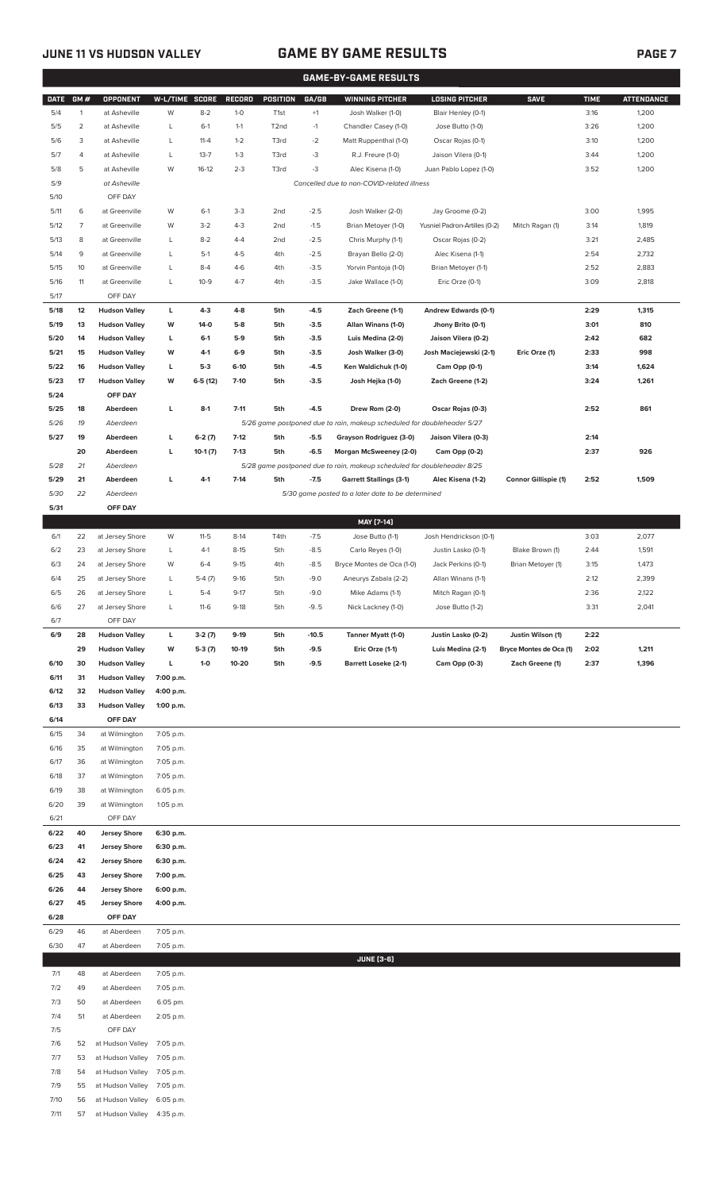7/11 57 at Hudson Valley 4:35 p.m.

## **JUNE 11 VS HUDSON VALLEY GAME BY GAME RESULTS PAGE 7**

|              | <b>GAME-BY-GAME RESULTS</b> |                                              |                        |                |                  |                   |                  |                                                                         |                                          |                             |              |                   |
|--------------|-----------------------------|----------------------------------------------|------------------------|----------------|------------------|-------------------|------------------|-------------------------------------------------------------------------|------------------------------------------|-----------------------------|--------------|-------------------|
| <b>DATE</b>  | GM#                         | <b>OPPONENT</b>                              | W-L/TIME SCORE         |                | <b>RECORD</b>    | POSITION          | GA/GB            | <b>WINNING PITCHER</b>                                                  | <b>LOSING PITCHER</b>                    | <b>SAVE</b>                 | <b>TIME</b>  | <b>ATTENDANCE</b> |
| 5/4          | $\mathbf{1}$                | at Asheville                                 | W                      | $8 - 2$        | $1 - 0$          | T <sub>1st</sub>  | $+1$             | Josh Walker (1-0)                                                       | Blair Henley (0-1)                       |                             | 3:16         | 1,200             |
| 5/5          | $\overline{2}$              | at Asheville                                 | L                      | $6-1$          | $1 - 1$          | T <sub>2</sub> nd | $-1$             | Chandler Casey (1-0)                                                    | Jose Butto (1-0)                         |                             | 3:26         | 1,200             |
| 5/6          | 3                           | at Asheville                                 | L                      | $11 - 4$       | $1 - 2$          | T3rd              | $-2$             | Matt Ruppenthal (1-0)                                                   | Oscar Rojas (0-1)                        |                             | 3:10         | 1,200             |
| 5/7          | 4                           | at Asheville                                 | L                      | $13 - 7$       | $1 - 3$          | T3rd              | $-3$             | R.J. Freure (1-0)                                                       | Jaison Vilera (0-1)                      |                             | 3:44         | 1,200             |
| 5/8          | 5                           | at Asheville                                 | W                      | $16-12$        | $2 - 3$          | T3rd              | $-3$             | Alec Kisena (1-0)                                                       | Juan Pablo Lopez (1-0)                   |                             | 3:52         | 1,200             |
| 5/9          |                             | at Asheville                                 |                        |                |                  |                   |                  | Cancelled due to non-COVID-related illness                              |                                          |                             |              |                   |
| 5/10         |                             | OFF DAY                                      |                        |                |                  |                   |                  |                                                                         |                                          |                             |              |                   |
| 5/11         | 6                           | at Greenville                                | W                      | $6-1$          | $3-3$            | 2 <sub>nd</sub>   | $-2.5$           | Josh Walker (2-0)                                                       | Jay Groome (0-2)                         |                             | 3:00         | 1,995             |
| 5/12         | $\overline{7}$              | at Greenville                                | W                      | $3-2$          | $4 - 3$          | 2 <sub>nd</sub>   | $-1.5$           | Brian Metoyer (1-0)                                                     | Yusniel Padron-Artilles (0-2)            | Mitch Ragan (1)             | 3:14         | 1,819             |
| 5/13         | 8                           | at Greenville                                | L                      | $8-2$          | $4 - 4$          | 2 <sub>nd</sub>   | $-2.5$           | Chris Murphy (1-1)                                                      | Oscar Rojas (0-2)                        |                             | 3:21         | 2,485             |
| 5/14         | 9<br>10                     | at Greenville                                | L                      | $5-1$<br>$8-4$ | $4 - 5$<br>$4-6$ | 4th               | $-2.5$<br>$-3.5$ | Brayan Bello (2-0)                                                      | Alec Kisena (1-1)<br>Brian Metoyer (1-1) |                             | 2:54         | 2,732<br>2,883    |
| 5/15<br>5/16 | 11                          | at Greenville<br>at Greenville               | L<br>L                 | $10-9$         | $4 - 7$          | 4th<br>4th        | $-3.5$           | Yorvin Pantoja (1-0)<br>Jake Wallace (1-0)                              | Eric Orze (0-1)                          |                             | 2:52<br>3:09 | 2,818             |
| 5/17         |                             | OFF DAY                                      |                        |                |                  |                   |                  |                                                                         |                                          |                             |              |                   |
| 5/18         | 12                          | <b>Hudson Valley</b>                         | L                      | $4-3$          | $4-8$            | 5th               | $-4.5$           | Zach Greene (1-1)                                                       | Andrew Edwards (0-1)                     |                             | 2:29         | 1,315             |
| 5/19         | 13                          | <b>Hudson Valley</b>                         | W                      | 14-0           | $5-8$            | 5th               | $-3.5$           | Allan Winans (1-0)                                                      | Jhony Brito (0-1)                        |                             | 3:01         | 810               |
| 5/20         | 14                          | <b>Hudson Valley</b>                         | L                      | $6-1$          | $5-9$            | 5th               | $-3.5$           | Luis Medina (2-0)                                                       | Jaison Vilera (0-2)                      |                             | 2:42         | 682               |
| 5/21         | 15                          | <b>Hudson Valley</b>                         | W                      | 4-1            | $6-9$            | 5th               | $-3.5$           | Josh Walker (3-0)                                                       | Josh Maciejewski (2-1)                   | Eric Orze (1)               | 2:33         | 998               |
| 5/22         | 16                          | <b>Hudson Valley</b>                         | L                      | $5-3$          | 6-10             | 5th               | $-4.5$           | Ken Waldichuk (1-0)                                                     | Cam Opp (0-1)                            |                             | 3:14         | 1,624             |
| 5/23         | 17                          | <b>Hudson Valley</b>                         | W                      | $6-5(12)$      | $7-10$           | 5th               | $-3.5$           | Josh Hejka (1-0)                                                        | Zach Greene (1-2)                        |                             | 3:24         | 1,261             |
| 5/24         |                             | OFF DAY                                      |                        |                |                  |                   |                  |                                                                         |                                          |                             |              |                   |
| 5/25         | 18                          | Aberdeen                                     | L                      | $8-1$          | $7 - 11$         | 5th               | $-4.5$           | Drew Rom (2-0)                                                          | Oscar Rojas (0-3)                        |                             | 2:52         | 861               |
| 5/26         | 19                          | Aberdeen                                     |                        |                |                  |                   |                  | 5/26 game postponed due to rain, makeup scheduled for doubleheader 5/27 |                                          |                             |              |                   |
| 5/27         | 19                          | Aberdeen                                     | L                      | $6-2(7)$       | $7-12$           | 5th               | $-5.5$           | Grayson Rodriguez (3-0)                                                 | Jaison Vilera (0-3)                      |                             | 2:14         |                   |
|              | 20                          | Aberdeen                                     | L                      | $10-1(7)$      | $7-13$           | 5th               | $-6.5$           | Morgan McSweeney (2-0)                                                  | Cam Opp (0-2)                            |                             | 2:37         | 926               |
| 5/28         | 21                          | Aberdeen                                     |                        |                |                  |                   |                  | 5/28 game postponed due to rain, makeup scheduled for doubleheader 8/25 |                                          |                             |              |                   |
| 5/29         | 21                          | Aberdeen                                     | L                      | $4 - 1$        | $7 - 14$         | 5th               | $-7.5$           | <b>Garrett Stallings (3-1)</b>                                          | Alec Kisena (1-2)                        | <b>Connor Gillispie (1)</b> | 2:52         | 1,509             |
| 5/30         | 22                          | Aberdeen                                     |                        |                |                  |                   |                  | 5/30 game posted to a later date to be determined                       |                                          |                             |              |                   |
| 5/31         |                             | OFF DAY                                      |                        |                |                  |                   |                  | MAY [7-14]                                                              |                                          |                             |              |                   |
| 6/1          | 22                          | at Jersey Shore                              | W                      | $11-5$         | $8-14$           | T4th              | $-7.5$           | Jose Butto (1-1)                                                        | Josh Hendrickson (0-1)                   |                             | 3:03         | 2,077             |
| 6/2          | 23                          | at Jersey Shore                              | L                      | $4-1$          | $8 - 15$         | 5th               | $-8.5$           | Carlo Reyes (1-0)                                                       | Justin Lasko (0-1)                       | Blake Brown (1)             | 2:44         | 1,591             |
| 6/3          | 24                          | at Jersey Shore                              | W                      | $6 - 4$        | $9 - 15$         | 4th               | $-8.5$           | Bryce Montes de Oca (1-0)                                               | Jack Perkins (0-1)                       | Brian Metoyer (1)           | 3:15         | 1,473             |
| 6/4          | 25                          | at Jersey Shore                              | L                      | $5-4(7)$       | $9-16$           | 5th               | $-9.0$           | Aneurys Zabala (2-2)                                                    | Allan Winans (1-1)                       |                             | 2:12         | 2,399             |
| 6/5          | 26                          | at Jersey Shore                              | L                      | $5 - 4$        | $9 - 17$         | 5th               | $-9.0$           | Mike Adams (1-1)                                                        | Mitch Ragan (0-1)                        |                             | 2:36         | 2,122             |
| 6/6          | 27                          | at Jersey Shore                              | L                      | $11-6$         | $9-18$           | 5th               | $-9.5$           | Nick Lackney (1-0)                                                      | Jose Butto (1-2)                         |                             | 3:31         | 2,041             |
| 6/7          |                             | OFF DAY                                      |                        |                |                  |                   |                  |                                                                         |                                          |                             |              |                   |
| 6/9          | 28                          | <b>Hudson Valley</b>                         | L                      | $3-2(7)$       | $9-19$           | 5th               | $-10.5$          | Tanner Myatt (1-0)                                                      | Justin Lasko (0-2)                       | Justin Wilson (1)           | 2:22         |                   |
|              | 29                          | <b>Hudson Valley</b>                         | W                      | $5-3(7)$       | 10-19            | 5th               | $-9.5$           | Eric Orze (1-1)                                                         | Luis Medina (2-1)                        | Bryce Montes de Oca (1)     | 2:02         | 1,211             |
| 6/10         | 30                          | <b>Hudson Valley</b>                         | г                      | $1-0$          | 10-20            | 5th               | $-9.5$           | <b>Barrett Loseke (2-1)</b>                                             | Cam Opp (0-3)                            | Zach Greene (1)             | 2:37         | 1,396             |
| 6/11<br>6/12 | 31<br>32                    | <b>Hudson Valley</b><br><b>Hudson Valley</b> | 7:00 p.m.<br>4:00 p.m. |                |                  |                   |                  |                                                                         |                                          |                             |              |                   |
| 6/13         | 33                          | <b>Hudson Valley</b>                         | 1:00 p.m.              |                |                  |                   |                  |                                                                         |                                          |                             |              |                   |
| 6/14         |                             | OFF DAY                                      |                        |                |                  |                   |                  |                                                                         |                                          |                             |              |                   |
| 6/15         | 34                          | at Wilmington                                | 7:05 p.m.              |                |                  |                   |                  |                                                                         |                                          |                             |              |                   |
| 6/16         | 35                          | at Wilmington                                | 7:05 p.m.              |                |                  |                   |                  |                                                                         |                                          |                             |              |                   |
| 6/17         | 36                          | at Wilmington                                | 7:05 p.m.              |                |                  |                   |                  |                                                                         |                                          |                             |              |                   |
| 6/18         | 37                          | at Wilmington                                | 7:05 p.m.              |                |                  |                   |                  |                                                                         |                                          |                             |              |                   |
| 6/19         | 38                          | at Wilmington                                | 6:05 p.m.              |                |                  |                   |                  |                                                                         |                                          |                             |              |                   |
| 6/20         | 39                          | at Wilmington                                | 1:05 p.m.              |                |                  |                   |                  |                                                                         |                                          |                             |              |                   |
| 6/21         |                             | OFF DAY                                      |                        |                |                  |                   |                  |                                                                         |                                          |                             |              |                   |
| 6/22         | 40                          | <b>Jersey Shore</b>                          | 6:30 p.m.              |                |                  |                   |                  |                                                                         |                                          |                             |              |                   |
| 6/23         | 41                          | <b>Jersey Shore</b>                          | 6:30 p.m.              |                |                  |                   |                  |                                                                         |                                          |                             |              |                   |
| 6/24         | 42                          | <b>Jersey Shore</b>                          | 6:30 p.m.              |                |                  |                   |                  |                                                                         |                                          |                             |              |                   |
| 6/25<br>6/26 | 43<br>44                    | <b>Jersey Shore</b><br><b>Jersey Shore</b>   | 7:00 p.m.<br>6:00 p.m. |                |                  |                   |                  |                                                                         |                                          |                             |              |                   |
| 6/27         | 45                          | <b>Jersey Shore</b>                          | 4:00 p.m.              |                |                  |                   |                  |                                                                         |                                          |                             |              |                   |
| 6/28         |                             | OFF DAY                                      |                        |                |                  |                   |                  |                                                                         |                                          |                             |              |                   |
| 6/29         | 46                          | at Aberdeen                                  | 7:05 p.m.              |                |                  |                   |                  |                                                                         |                                          |                             |              |                   |
| 6/30         | 47                          | at Aberdeen                                  | 7:05 p.m.              |                |                  |                   |                  |                                                                         |                                          |                             |              |                   |
|              |                             |                                              |                        |                |                  |                   |                  | <b>JUNE [3-6]</b>                                                       |                                          |                             |              |                   |
| 7/1          | 48                          | at Aberdeen                                  | 7:05 p.m.              |                |                  |                   |                  |                                                                         |                                          |                             |              |                   |
| 7/2          | 49                          | at Aberdeen                                  | 7:05 p.m.              |                |                  |                   |                  |                                                                         |                                          |                             |              |                   |
| 7/3          | 50                          | at Aberdeen                                  | 6:05 pm.               |                |                  |                   |                  |                                                                         |                                          |                             |              |                   |
| 7/4          | 51                          | at Aberdeen                                  | 2:05 p.m.              |                |                  |                   |                  |                                                                         |                                          |                             |              |                   |
| 7/5          |                             | OFF DAY                                      |                        |                |                  |                   |                  |                                                                         |                                          |                             |              |                   |
| 7/6          | 52                          | at Hudson Valley<br>at Hudson Valley         | 7:05 p.m.<br>7:05 p.m. |                |                  |                   |                  |                                                                         |                                          |                             |              |                   |
| 7/7<br>7/8   | 53<br>54                    | at Hudson Valley                             | 7:05 p.m.              |                |                  |                   |                  |                                                                         |                                          |                             |              |                   |
| 7/9          | 55                          | at Hudson Valley                             | 7:05 p.m.              |                |                  |                   |                  |                                                                         |                                          |                             |              |                   |
| 7/10         | 56                          | at Hudson Valley 6:05 p.m.                   |                        |                |                  |                   |                  |                                                                         |                                          |                             |              |                   |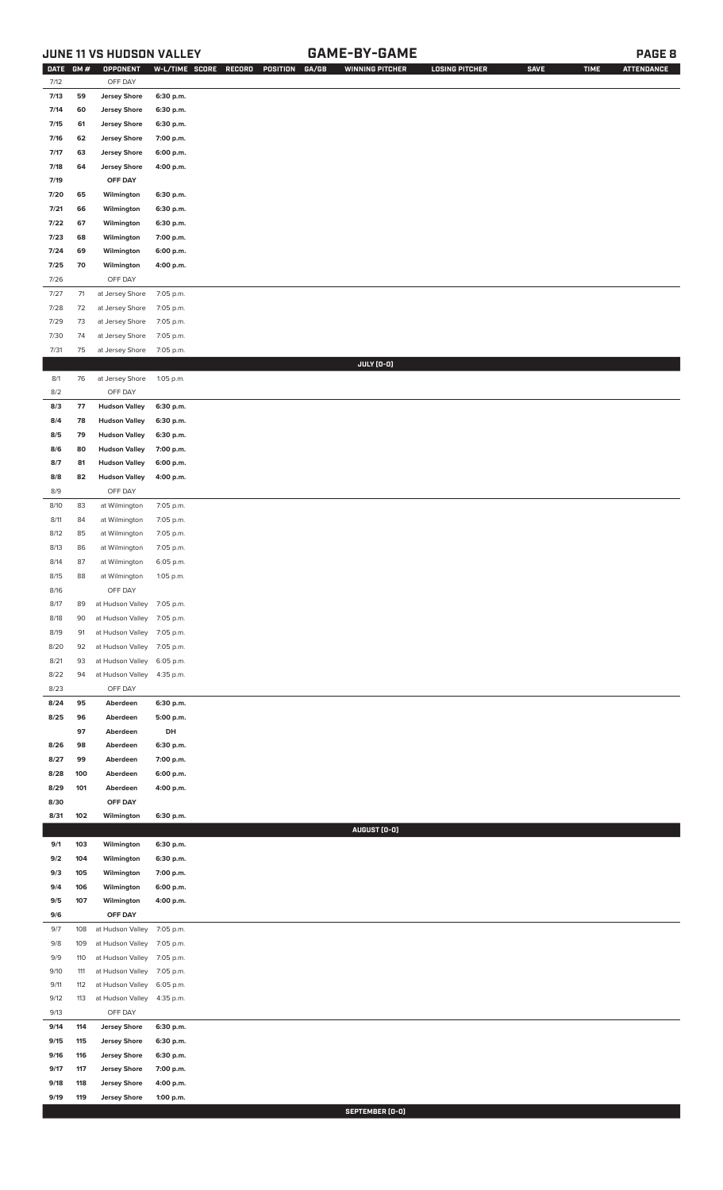## **JUNE 11 VS HUDSON VALLEY GAME-BY-GAME PAGE 8**

| DATE GM# |      | <b>OPPONENT</b>      |           | W-L/TIME SCORE RECORD<br>POSITION GA/GB | <b>WINNING PITCHER</b> | <b>LOSING PITCHER</b> | <b>SAVE</b> | <b>TIME</b> | <b>ATTENDANCE</b> |
|----------|------|----------------------|-----------|-----------------------------------------|------------------------|-----------------------|-------------|-------------|-------------------|
| 7/12     |      | OFF DAY              |           |                                         |                        |                       |             |             |                   |
| 7/13     | 59   | <b>Jersey Shore</b>  | 6:30 p.m. |                                         |                        |                       |             |             |                   |
| 7/14     | 60   | <b>Jersey Shore</b>  | 6:30 p.m. |                                         |                        |                       |             |             |                   |
| 7/15     | 61   | <b>Jersey Shore</b>  | 6:30 p.m. |                                         |                        |                       |             |             |                   |
| 7/16     | 62   | <b>Jersey Shore</b>  | 7:00 p.m. |                                         |                        |                       |             |             |                   |
| 7/17     | 63   | <b>Jersey Shore</b>  | 6:00 p.m. |                                         |                        |                       |             |             |                   |
| 7/18     | 64   | <b>Jersey Shore</b>  | 4:00 p.m. |                                         |                        |                       |             |             |                   |
| 7/19     |      | OFF DAY              |           |                                         |                        |                       |             |             |                   |
| 7/20     | 65   | Wilmington           | 6:30 p.m. |                                         |                        |                       |             |             |                   |
| 7/21     | 66   | Wilmington           | 6:30 p.m. |                                         |                        |                       |             |             |                   |
| 7/22     | 67   | Wilmington           | 6:30 p.m. |                                         |                        |                       |             |             |                   |
| 7/23     | 68   | Wilmington           | 7:00 p.m. |                                         |                        |                       |             |             |                   |
| 7/24     | 69   | Wilmington           | 6:00 p.m. |                                         |                        |                       |             |             |                   |
| 7/25     | 70   | Wilmington           | 4:00 p.m. |                                         |                        |                       |             |             |                   |
| 7/26     |      | OFF DAY              |           |                                         |                        |                       |             |             |                   |
| 7/27     | $71$ | at Jersey Shore      | 7:05 p.m. |                                         |                        |                       |             |             |                   |
| 7/28     | 72   | at Jersey Shore      | 7:05 p.m. |                                         |                        |                       |             |             |                   |
| 7/29     | 73   | at Jersey Shore      | 7:05 p.m. |                                         |                        |                       |             |             |                   |
| 7/30     | 74   |                      |           |                                         |                        |                       |             |             |                   |
|          |      | at Jersey Shore      | 7:05 p.m. |                                         |                        |                       |             |             |                   |
| 7/31     | 75   | at Jersey Shore      | 7:05 p.m. |                                         | JULY (0-0)             |                       |             |             |                   |
|          |      |                      |           |                                         |                        |                       |             |             |                   |
| 8/1      | 76   | at Jersey Shore      | 1:05 p.m. |                                         |                        |                       |             |             |                   |
| 8/2      |      | OFF DAY              |           |                                         |                        |                       |             |             |                   |
| 8/3      | 77   | <b>Hudson Valley</b> | 6:30 p.m. |                                         |                        |                       |             |             |                   |
| 8/4      | 78   | <b>Hudson Valley</b> | 6:30 p.m. |                                         |                        |                       |             |             |                   |
| 8/5      | 79   | <b>Hudson Valley</b> | 6:30 p.m. |                                         |                        |                       |             |             |                   |
| 8/6      | 80   | <b>Hudson Valley</b> | 7:00 p.m. |                                         |                        |                       |             |             |                   |
| 8/7      | 81   | <b>Hudson Valley</b> | 6:00 p.m. |                                         |                        |                       |             |             |                   |
| 8/8      | 82   | <b>Hudson Valley</b> | 4:00 p.m. |                                         |                        |                       |             |             |                   |
| 8/9      |      | OFF DAY              |           |                                         |                        |                       |             |             |                   |
| 8/10     | 83   | at Wilmington        | 7:05 p.m. |                                         |                        |                       |             |             |                   |
| 8/11     | 84   | at Wilmington        | 7:05 p.m. |                                         |                        |                       |             |             |                   |
| 8/12     | 85   | at Wilmington        | 7:05 p.m. |                                         |                        |                       |             |             |                   |
| 8/13     | 86   | at Wilmington        | 7:05 p.m. |                                         |                        |                       |             |             |                   |
| 8/14     | 87   | at Wilmington        | 6:05 p.m. |                                         |                        |                       |             |             |                   |
| 8/15     | 88   | at Wilmington        | 1:05 p.m. |                                         |                        |                       |             |             |                   |
| 8/16     |      | OFF DAY              |           |                                         |                        |                       |             |             |                   |
| 8/17     | 89   | at Hudson Valley     | 7:05 p.m. |                                         |                        |                       |             |             |                   |
| 8/18     | 90   | at Hudson Valley     | 7:05 p.m. |                                         |                        |                       |             |             |                   |
| 8/19     | 91   | at Hudson Valley     | 7:05 p.m. |                                         |                        |                       |             |             |                   |
| 8/20     | 92   | at Hudson Valley     | 7:05 p.m. |                                         |                        |                       |             |             |                   |
| 8/21     | 93   | at Hudson Valley     | 6:05 p.m. |                                         |                        |                       |             |             |                   |
| 8/22     | 94   | at Hudson Valley     | 4:35 p.m. |                                         |                        |                       |             |             |                   |
| 8/23     |      | OFF DAY              |           |                                         |                        |                       |             |             |                   |
| 8/24     | 95   | Aberdeen             | 6:30 p.m. |                                         |                        |                       |             |             |                   |
| 8/25     | 96   | Aberdeen             | 5:00 p.m. |                                         |                        |                       |             |             |                   |
|          | 97   | Aberdeen             | DH        |                                         |                        |                       |             |             |                   |
| 8/26     | 98   | Aberdeen             | 6:30 p.m. |                                         |                        |                       |             |             |                   |
| 8/27     | 99   | Aberdeen             | 7:00 p.m. |                                         |                        |                       |             |             |                   |
| 8/28     | 100  | Aberdeen             | 6:00 p.m. |                                         |                        |                       |             |             |                   |
| 8/29     | 101  | Aberdeen             | 4:00 p.m. |                                         |                        |                       |             |             |                   |
| 8/30     |      | OFF DAY              |           |                                         |                        |                       |             |             |                   |
| 8/31     | 102  | Wilmington           | 6:30 p.m. |                                         |                        |                       |             |             |                   |
|          |      |                      |           |                                         | AUGUST (0-0)           |                       |             |             |                   |
| 9/1      | 103  | Wilmington           | 6:30 p.m. |                                         |                        |                       |             |             |                   |
| 9/2      | 104  | Wilmington           | 6:30 p.m. |                                         |                        |                       |             |             |                   |
| 9/3      | 105  | Wilmington           | 7:00 p.m. |                                         |                        |                       |             |             |                   |
| 9/4      | 106  | Wilmington           | 6:00 p.m. |                                         |                        |                       |             |             |                   |
| 9/5      | 107  | Wilmington           | 4:00 p.m. |                                         |                        |                       |             |             |                   |
| 9/6      |      | OFF DAY              |           |                                         |                        |                       |             |             |                   |
| 9/7      | 108  | at Hudson Valley     | 7:05 p.m. |                                         |                        |                       |             |             |                   |
| 9/8      | 109  | at Hudson Valley     | 7:05 p.m. |                                         |                        |                       |             |             |                   |
| 9/9      | 110  | at Hudson Valley     | 7:05 p.m. |                                         |                        |                       |             |             |                   |
| 9/10     | 111  | at Hudson Valley     | 7:05 p.m. |                                         |                        |                       |             |             |                   |
| 9/11     | 112  | at Hudson Valley     | 6:05 p.m. |                                         |                        |                       |             |             |                   |
| 9/12     | 113  | at Hudson Valley     | 4:35 p.m. |                                         |                        |                       |             |             |                   |
| 9/13     |      | OFF DAY              |           |                                         |                        |                       |             |             |                   |
| 9/14     | 114  | <b>Jersey Shore</b>  | 6:30 p.m. |                                         |                        |                       |             |             |                   |
| 9/15     | 115  | <b>Jersey Shore</b>  | 6:30 p.m. |                                         |                        |                       |             |             |                   |
| 9/16     | 116  | <b>Jersey Shore</b>  | 6:30 p.m. |                                         |                        |                       |             |             |                   |
| 9/17     | 117  | <b>Jersey Shore</b>  | 7:00 p.m. |                                         |                        |                       |             |             |                   |
| 9/18     | 118  | <b>Jersey Shore</b>  | 4:00 p.m. |                                         |                        |                       |             |             |                   |
| 9/19     | 119  | <b>Jersey Shore</b>  | 1:00 p.m. |                                         |                        |                       |             |             |                   |
|          |      |                      |           |                                         | SEPTEMBER (0-0)        |                       |             |             |                   |